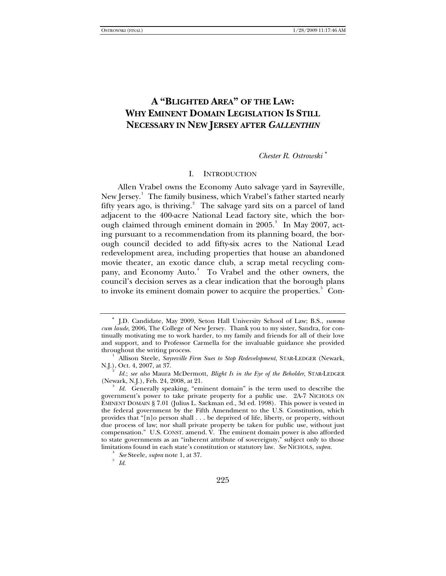# **A "BLIGHTED AREA" OF THE LAW: WHY EMINENT DOMAIN LEGISLATION IS STILL NECESSARY IN NEW JERSEY AFTER** *GALLENTHIN*

## *Chester R. Ostrowski* [∗](#page-0-0)

## I. INTRODUCTION

Allen Vrabel owns the Economy Auto salvage yard in Sayreville, New Jersey.<sup>[1](#page-0-1)</sup> The family business, which Vrabel's father started nearly fifty years ago, is thriving.<sup>[2](#page-0-2)</sup> The salvage yard sits on a parcel of land adjacent to the 400-acre National Lead factory site, which the bor-ough claimed through eminent domain in 2005.<sup>[3](#page-0-3)</sup> In May 2007, acting pursuant to a recommendation from its planning board, the borough council decided to add fifty-six acres to the National Lead redevelopment area, including properties that house an abandoned movie theater, an exotic dance club, a scrap metal recycling com-pany, and Economy Auto.<sup>[4](#page-0-4)</sup> To Vrabel and the other owners, the council's decision serves as a clear indication that the borough plans to invoke its eminent domain power to acquire the properties.<sup>[5](#page-0-5)</sup> Con-

<span id="page-0-0"></span><sup>∗</sup> J.D. Candidate, May 2009, Seton Hall University School of Law; B.S., *summa cum laude*, 2006, The College of New Jersey. Thank you to my sister, Sandra, for continually motivating me to work harder, to my family and friends for all of their love and support, and to Professor Carmella for the invaluable guidance she provided throughout the writing process. 1

<span id="page-0-1"></span>Allison Steele, *Sayreville Firm Sues to Stop Redevelopment*, STAR-LEDGER (Newark, N.J.), Oct. 4, 2007, at 37. 2

<span id="page-0-2"></span>*Id.*; *see also* Maura McDermott, *Blight Is in the Eye of the Beholder*, STAR-LEDGER (Newark, N.J.), Feb. 24, 2008, at 21. 3

<span id="page-0-3"></span>*Id.* Generally speaking, "eminent domain" is the term used to describe the government's power to take private property for a public use. 2A-7 NICHOLS ON EMINENT DOMAIN § 7.01 (Julius L. Sackman ed., 3d ed. 1998). This power is vested in the federal government by the Fifth Amendment to the U.S. Constitution, which provides that "[n]o person shall . . . be deprived of life, liberty, or property, without due process of law; nor shall private property be taken for public use, without just compensation." U.S. CONST. amend. V. The eminent domain power is also afforded to state governments as an "inherent attribute of sovereignty," subject only to those limitations found in each state's constitution or statutory law. *See* NICHOLS, *supra*. 4

<span id="page-0-5"></span><span id="page-0-4"></span>*See* Steele, *supra* note 1, at 37.

*Id.*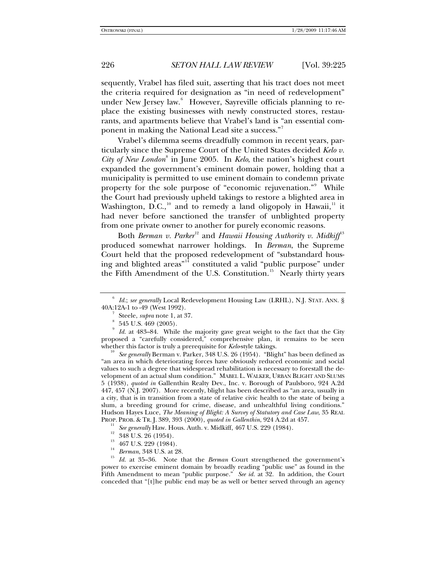sequently, Vrabel has filed suit, asserting that his tract does not meet the criteria required for designation as "in need of redevelopment" under New Jersey law.<sup>[6](#page-1-0)</sup> However, Sayreville officials planning to replace the existing businesses with newly constructed stores, restaurants, and apartments believe that Vrabel's land is "an essential com-ponent in making the National Lead site a success."<sup>[7](#page-1-1)</sup>

Vrabel's dilemma seems dreadfully common in recent years, particularly since the Supreme Court of the United States decided *Kelo v.*  City of New London<sup>[8](#page-1-2)</sup> in June 2005. In *Kelo*, the nation's highest court expanded the government's eminent domain power, holding that a municipality is permitted to use eminent domain to condemn private property for the sole purpose of "economic rejuvenation." While the Court had previously upheld takings to restore a blighted area in Washington, D.C.,<sup>[10](#page-1-4)</sup> and to remedy a land oligopoly in Hawaii,<sup>[11](#page-1-5)</sup> it had never before sanctioned the transfer of unblighted property from one private owner to another for purely economic reasons.

Both *Berman v. Parker*<sup>[12](#page-1-6)</sup> and *Hawaii Housing Authority v. Midkiff*<sup>[13](#page-1-7)</sup> produced somewhat narrower holdings. In *Berman*, the Supreme Court held that the proposed redevelopment of "substandard housing and blighted areas"[14](#page-1-8) constituted a valid "public purpose" under the Fifth Amendment of the U.S. Constitution.<sup>[15](#page-1-9)</sup> Nearly thirty years

<span id="page-1-0"></span><sup>6</sup>  *Id.*; *see generally* Local Redevelopment Housing Law (LRHL), N.J. STAT. ANN. § 40A:12A-1 to -49 (West 1992). 7

Steele, *supra* note 1, at 37.

 <sup>545</sup> U.S. 469 (2005).

<span id="page-1-3"></span><span id="page-1-2"></span><span id="page-1-1"></span><sup>9</sup>  *Id.* at 483–84. While the majority gave great weight to the fact that the City proposed a "carefully considered," comprehensive plan, it remains to be seen whether this factor is truly a prerequisite for *Kelo*-style takings.<br><sup>10</sup> See generally Berman v. Parker, 348 U.S. 26 (1954). "Blight" has been defined as

<span id="page-1-4"></span><sup>&</sup>quot;an area in which deteriorating forces have obviously reduced economic and social values to such a degree that widespread rehabilitation is necessary to forestall the development of an actual slum condition." MABEL L. WALKER, URBAN BLIGHT AND SLUMS 5 (1938), *quoted in* Gallenthin Realty Dev., Inc. v. Borough of Paulsboro, 924 A.2d 447, 457 (N.J. 2007). More recently, blight has been described as "an area, usually in a city, that is in transition from a state of relative civic health to the state of being a slum, a breeding ground for crime, disease, and unhealthful living conditions." Hudson Hayes Luce, *The Meaning of Blight: A Survey of Statutory and Case Law*, 35 REAL PROP. PROB. & TR. J. 389, 393 (2000), *quoted in Gallenthin*, 924 A.2d at 457.<br>
<sup>11</sup> See generally Haw. Hous. Auth. v. Midkiff, 467 U.S. 229 (1984).<br>
<sup>12</sup> 348 U.S. 26 (1954).<br>
<sup>13</sup> 467 U.S. 990 (1984).

 $\frac{13}{14}$  467 U.S. 229 (1984).

<span id="page-1-9"></span><span id="page-1-8"></span><span id="page-1-7"></span><span id="page-1-6"></span><span id="page-1-5"></span><sup>&</sup>lt;sup>14</sup> Berman, 348 U.S. at 28. 15 *Id.* at 35–36. Note that the *Berman* Court strengthened the government's power to exercise eminent domain by broadly reading "public use" as found in the Fifth Amendment to mean "public purpose." *See id.* at 32. In addition, the Court conceded that "[t]he public end may be as well or better served through an agency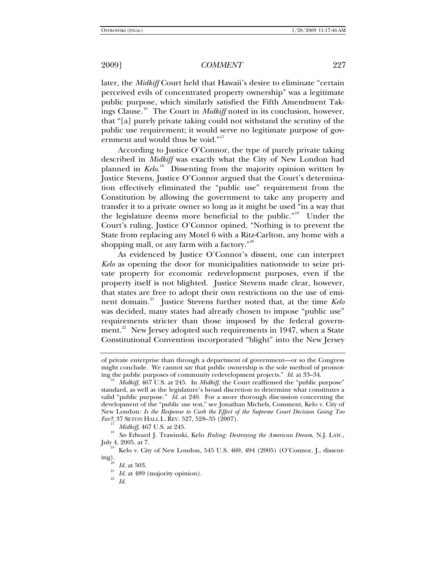later, the *Midkiff* Court held that Hawaii's desire to eliminate "certain perceived evils of concentrated property ownership" was a legitimate public purpose, which similarly satisfied the Fifth Amendment Takings Clause.[16](#page-2-0) The Court in *Midkiff* noted in its conclusion, however, that "[a] purely private taking could not withstand the scrutiny of the public use requirement; it would serve no legitimate purpose of gov-ernment and would thus be void."<sup>[17](#page-2-1)</sup>

According to Justice O'Connor, the type of purely private taking described in *Midkiff* was exactly what the City of New London had planned in *Kelo*.<sup>[18](#page-2-2)</sup> Dissenting from the majority opinion written by Justice Stevens, Justice O'Connor argued that the Court's determination effectively eliminated the "public use" requirement from the Constitution by allowing the government to take any property and transfer it to a private owner so long as it might be used "in a way that the legislature deems more beneficial to the public."<sup>[19](#page-2-3)</sup> Under the Court's ruling, Justice O'Connor opined, "Nothing is to prevent the State from replacing any Motel 6 with a Ritz-Carlton, any home with a shopping mall, or any farm with a factory. $n^{20}$  $n^{20}$  $n^{20}$ 

As evidenced by Justice O'Connor's dissent, one can interpret *Kelo* as opening the door for municipalities nationwide to seize private property for economic redevelopment purposes, even if the property itself is not blighted. Justice Stevens made clear, however, that states are free to adopt their own restrictions on the use of emi-nent domain.<sup>[21](#page-2-5)</sup> Justice Stevens further noted that, at the time *Kelo* was decided, many states had already chosen to impose "public use" requirements stricter than those imposed by the federal govern-ment.<sup>[22](#page-2-6)</sup> New Jersey adopted such requirements in 1947, when a State Constitutional Convention incorporated "blight" into the New Jersey

of private enterprise than through a department of government—or so the Congress might conclude. We cannot say that public ownership is the sole method of promoting the public purposes of community redevelopment projects." *Id.* at 33–34.<br><sup>16</sup> *Midkiff*, 467 U.S. at 245. In *Midkiff*, the Court reaffirmed the "public purpose"

<span id="page-2-0"></span>standard, as well as the legislature's broad discretion to determine what constitutes a valid "public purpose." *Id.* at 240. For a more thorough discussion concerning the development of the "public use test," see Jonathan Michels, Comment, Kelo v. City of New London*: Is the Response to Curb the Effect of the Supreme Court Decision Going Too* 

<span id="page-2-2"></span><span id="page-2-1"></span>*Fa Midkiff,* 467 U.S. at 245.<br><sup>18</sup> See Edward J. Trawinski, Kelo *Ruling: Destroying the American Dream*, N.J. LAW., July 4, 2005, at 7.

<span id="page-2-6"></span><span id="page-2-5"></span><span id="page-2-4"></span><span id="page-2-3"></span> $J_{\text{J}}^{19}$  Kelo v. City of New London, 545 U.S. 469, 494 (2005) (O'Connor, J., dissenting).

ing). 20 *Id.* at 503. 21 *Id.* at 489 (majority opinion). 22 *Id.*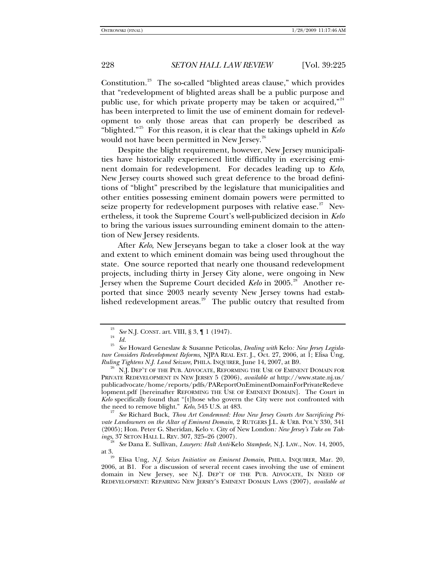Constitution.<sup>[23](#page-3-0)</sup> The so-called "blighted areas clause," which provides that "redevelopment of blighted areas shall be a public purpose and public use, for which private property may be taken or acquired," $24$ has been interpreted to limit the use of eminent domain for redevelopment to only those areas that can properly be described as "blighted."[25](#page-3-2) For this reason, it is clear that the takings upheld in *Kelo*  would not have been permitted in New Jersey.<sup>[26](#page-3-3)</sup>

Despite the blight requirement, however, New Jersey municipalities have historically experienced little difficulty in exercising eminent domain for redevelopment. For decades leading up to *Kelo*, New Jersey courts showed such great deference to the broad definitions of "blight" prescribed by the legislature that municipalities and other entities possessing eminent domain powers were permitted to seize property for redevelopment purposes with relative ease. $27$  Nevertheless, it took the Supreme Court's well-publicized decision in *Kelo*  to bring the various issues surrounding eminent domain to the attention of New Jersey residents.

After *Kelo*, New Jerseyans began to take a closer look at the way and extent to which eminent domain was being used throughout the state. One source reported that nearly one thousand redevelopment projects, including thirty in Jersey City alone, were ongoing in New Jersey when the Supreme Court decided *Kelo* in 2005.<sup>[28](#page-3-5)</sup> Another reported that since 2003 nearly seventy New Jersey towns had established redevelopment areas. $29$  The public outcry that resulted from

<span id="page-3-4"></span><sup>27</sup> See Richard Buck, *Thou Art Condemned: How New Jersey Courts Are Sacrificing Private Landowners on the Altar of Eminent Domain*, 2 RUTGERS J.L. & URB. POL'Y 330, 341 (2005); Hon. Peter G. Sheridan, Kelo v. City of New London*: New Jersey's Take on Tak-*

<sup>&</sup>lt;sup>23</sup> See N.J. CONST. art. VIII, § 3, ¶ 1 (1947).<br><sup>24</sup> Id.<br><sup>25</sup> See Hounrd Concelau & Susanno Potico

<span id="page-3-2"></span><span id="page-3-1"></span><span id="page-3-0"></span><sup>25</sup> *See* Howard Geneslaw & Susanne Peticolas, *Dealing with* Kelo*: New Jersey Legislature Considers Redevelopment Reforms*, NJPA REAL EST. J., Oct. 27, 2006, at 1; Elisa Ung, *Ruling Tightens N.J. Land Seizure*, PHILA. INQUIRER, June 14, 2007, at B9.<br><sup>26</sup> N.J. DEP'T OF THE PUB. ADVOCATE, REFORMING THE USE OF EMINENT DOMAIN FOR

<span id="page-3-3"></span>PRIVATE REDEVELOPMENT IN NEW JERSEY 5 (2006), *available at* http://www.state.nj.us/ publicadvocate/home/reports/pdfs/PAReportOnEminentDomainForPrivateRedeve lopment.pdf [hereinafter REFORMING THE USE OF EMINENT DOMAIN]. The Court in *Kelo* specifically found that "[t]hose who govern the City were not confronted with the need to remove blight." *Kelo*, 545 U.S. at 483.

<span id="page-3-5"></span>*See Dana E. Sullivan, Lawyers: Halt Anti-Kelo <i>Stampede*, N.J. LAW., Nov. 14, 2005, at 3. 29 Elisa Ung, *N.J. Seizes Initiative on Eminent Domain*, PHILA. INQUIRER, Mar. 20,

<span id="page-3-6"></span><sup>2006,</sup> at B1. For a discussion of several recent cases involving the use of eminent domain in New Jersey, see N.J. DEP'T OF THE PUB. ADVOCATE, IN NEED OF REDEVELOPMENT: REPAIRING NEW JERSEY'S EMINENT DOMAIN LAWS (2007), *available at*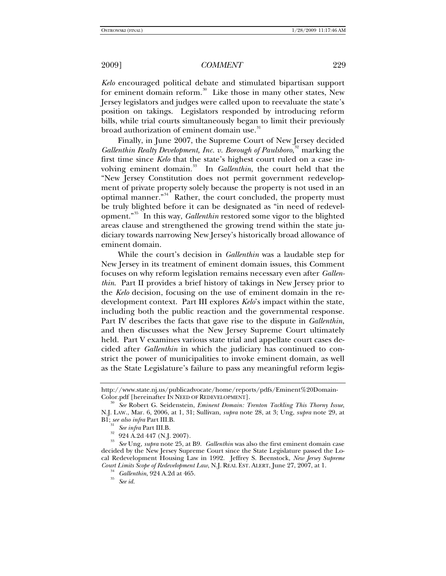*Kelo* encouraged political debate and stimulated bipartisan support for eminent domain reform.<sup>[30](#page-4-0)</sup> Like those in many other states, New Jersey legislators and judges were called upon to reevaluate the state's position on takings. Legislators responded by introducing reform bills, while trial courts simultaneously began to limit their previously broad authorization of eminent domain use.<sup>[31](#page-4-1)</sup>

Finally, in June 2007, the Supreme Court of New Jersey decided Gallenthin Realty Development, Inc. v. Borough of Paulsboro,<sup>[32](#page-4-2)</sup> marking the first time since *Kelo* that the state's highest court ruled on a case in-volving eminent domain.<sup>[33](#page-4-3)</sup> In *Gallenthin*, the court held that the "New Jersey Constitution does not permit government redevelopment of private property solely because the property is not used in an optimal manner."[34](#page-4-4) Rather, the court concluded, the property must be truly blighted before it can be designated as "in need of redevelopment."[35](#page-4-5) In this way, *Gallenthin* restored some vigor to the blighted areas clause and strengthened the growing trend within the state judiciary towards narrowing New Jersey's historically broad allowance of eminent domain.

While the court's decision in *Gallenthin* was a laudable step for New Jersey in its treatment of eminent domain issues, this Comment focuses on why reform legislation remains necessary even after *Gallenthin*. Part II provides a brief history of takings in New Jersey prior to the *Kelo* decision, focusing on the use of eminent domain in the redevelopment context. Part III explores *Kelo*'s impact within the state, including both the public reaction and the governmental response. Part IV describes the facts that gave rise to the dispute in *Gallenthin*, and then discusses what the New Jersey Supreme Court ultimately held. Part V examines various state trial and appellate court cases decided after *Gallenthin* in which the judiciary has continued to constrict the power of municipalities to invoke eminent domain, as well as the State Legislature's failure to pass any meaningful reform legis-

http://www.state.nj.us/publicadvocate/home/reports/pdfs/Eminent%20Domain-

<span id="page-4-0"></span>See Robert G. Seidenstein, *Eminent Domain: Trenton Tackling This Thorny Issue*, N.J. LAW., Mar. 6, 2006, at 1, 31; Sullivan, *supra* note 28, at 3; Ung, *supra* note 29, at B1; *see also infra* Part III.B. 31 *See infra* Part III.B. 32 924 A.2d 447 (N.J. 2007).

<span id="page-4-5"></span><span id="page-4-4"></span><span id="page-4-3"></span><span id="page-4-2"></span><span id="page-4-1"></span><sup>33</sup> *See* Ung, *supra* note 25, at B9. *Gallenthin* was also the first eminent domain case decided by the New Jersey Supreme Court since the State Legislature passed the Local Redevelopment Housing Law in 1992. Jeffrey S. Beenstock, *New Jersey Supreme Court Limits Scope of Redevelopment Law*, N.J. REAL EST. ALERT, June 27, 2007, at 1. 34 *Gallenthin*, 924 A.2d at 465. 35 *See id.*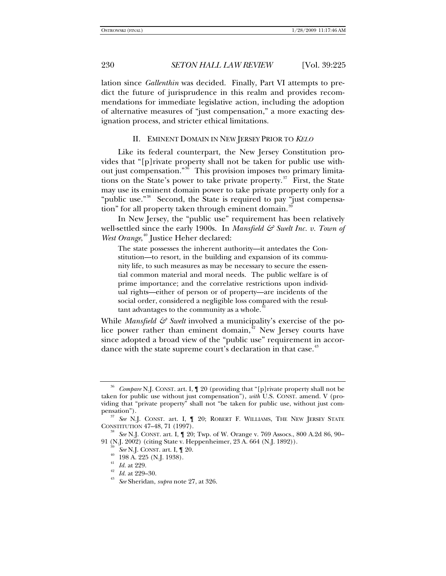lation since *Gallenthin* was decided. Finally, Part VI attempts to predict the future of jurisprudence in this realm and provides recommendations for immediate legislative action, including the adoption of alternative measures of "just compensation," a more exacting designation process, and stricter ethical limitations.

### II. EMINENT DOMAIN IN NEW JERSEY PRIOR TO *KELO*

Like its federal counterpart, the New Jersey Constitution provides that "[p]rivate property shall not be taken for public use without just compensation."[36](#page-5-0) This provision imposes two primary limitations on the State's power to take private property. $37$  First, the State may use its eminent domain power to take private property only for a "public use."<sup>[38](#page-5-2)</sup> Second, the State is required to pay "just compensation" for all property taken through eminent domain.

In New Jersey, the "public use" requirement has been relatively well-settled since the early 1900s. In *Mansfield & Swelt Inc. v. Town of* West Orange,<sup>[40](#page-5-4)</sup> Justice Heher declared:

The state possesses the inherent authority—it antedates the Constitution—to resort, in the building and expansion of its community life, to such measures as may be necessary to secure the essential common material and moral needs. The public welfare is of prime importance; and the correlative restrictions upon individual rights—either of person or of property—are incidents of the social order, considered a negligible loss compared with the resultant advantages to the community as a whole.

While *Mansfield*  $\mathcal{G}$  *Swelt* involved a municipality's exercise of the police power rather than eminent domain, $42$  New Jersey courts have since adopted a broad view of the "public use" requirement in accor-dance with the state supreme court's declaration in that case.<sup>[43](#page-5-7)</sup>

<span id="page-5-0"></span>*Compare* N.J. CONST. art. I,  $\llbracket 20 \right.$  (providing that "[p] rivate property shall not be taken for public use without just compensation"), *with* U.S. CONST. amend. V (providing that "private property" shall not "be taken for public use, without just com-

<span id="page-5-1"></span>pensation ).<br><sup>37</sup> See N.J. Const. art. I, 1 20; ROBERT F. WILLIAMS, THE NEW JERSEY STATE<br>CONSTITUTION 47–48, 71 (1997).

<span id="page-5-6"></span><span id="page-5-5"></span><span id="page-5-4"></span><span id="page-5-3"></span><span id="page-5-2"></span><sup>&</sup>lt;sup>38</sup> See N.J. CONST. art. I,  $\llbracket$  20; Twp. of W. Orange v. 769 Assocs., 800 A.2d 86, 90– 91 (N.J. 2002) (citing State v. Heppenheimer, 23 A. 664 (N.J. 1892)).<br><sup>39</sup> *See* N.J. CONST. art. I, ¶ 20.<br><sup>40</sup> 198 A. 225 (N.J. 1938).<br>*Id.* at 229.

<span id="page-5-7"></span><sup>41</sup> *Id.* at 229. 42 *Id.* at 229–30. 43 *See* Sheridan, *supra* note 27, at 326.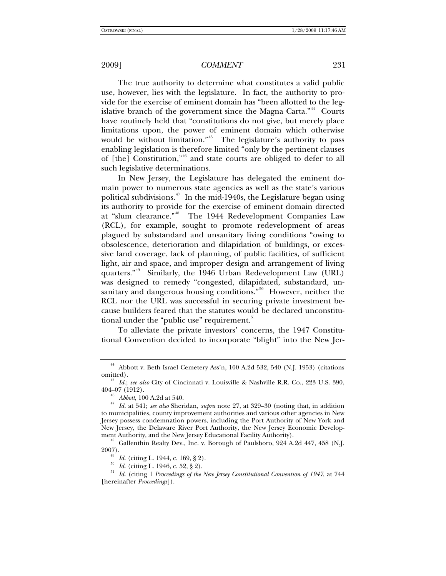The true authority to determine what constitutes a valid public use, however, lies with the legislature. In fact, the authority to provide for the exercise of eminent domain has "been allotted to the leg-islative branch of the government since the Magna Carta."<sup>[44](#page-6-0)</sup> Courts have routinely held that "constitutions do not give, but merely place limitations upon, the power of eminent domain which otherwise would be without limitation."<sup>[45](#page-6-1)</sup> The legislature's authority to pass enabling legislation is therefore limited "only by the pertinent clauses of [the] Constitution,"[46](#page-6-2) and state courts are obliged to defer to all such legislative determinations.

In New Jersey, the Legislature has delegated the eminent domain power to numerous state agencies as well as the state's various political subdivisions.<sup> $47$ </sup> In the mid-1940s, the Legislature began using its authority to provide for the exercise of eminent domain directed at "slum clearance."<sup>[48](#page-6-4)</sup> The 1944 Redevelopment Companies Law (RCL), for example, sought to promote redevelopment of areas plagued by substandard and unsanitary living conditions "owing to obsolescence, deterioration and dilapidation of buildings, or excessive land coverage, lack of planning, of public facilities, of sufficient light, air and space, and improper design and arrangement of living quarters."[49](#page-6-5) Similarly, the 1946 Urban Redevelopment Law (URL) was designed to remedy "congested, dilapidated, substandard, un-sanitary and dangerous housing conditions."<sup>[50](#page-6-6)</sup> However, neither the RCL nor the URL was successful in securing private investment because builders feared that the statutes would be declared unconstitu-tional under the "public use" requirement.<sup>[51](#page-6-7)</sup>

To alleviate the private investors' concerns, the 1947 Constitutional Convention decided to incorporate "blight" into the New Jer-

<span id="page-6-0"></span><sup>&</sup>lt;sup>44</sup> Abbott v. Beth Israel Cemetery Ass'n, 100 A.2d 532, 540 (N.J. 1953) (citations omitted). 45 *Id.*; *see also* City of Cincinnati v. Louisville & Nashville R.R. Co., 223 U.S. 390,

<span id="page-6-3"></span><span id="page-6-2"></span><span id="page-6-1"></span><sup>404–07 (1912). 46</sup> *Abbott*, 100 A.2d at 540. 47 *Id.* at 541; *see also* Sheridan, *supra* note 27, at 329–30 (noting that, in addition to municipalities, county improvement authorities and various other agencies in New Jersey possess condemnation powers, including the Port Authority of New York and New Jersey, the Delaware River Port Authority, the New Jersey Economic Develop-

<span id="page-6-4"></span>ment Authority, and the New Jersey Educational Facility Authority).<br><sup>48</sup> Gallenthin Realty Dev., Inc. v. Borough of Paulsboro, 924 A.2d 447, 458 (N.J. 2007).

<span id="page-6-7"></span><span id="page-6-6"></span><span id="page-6-5"></span><sup>&</sup>lt;sup>49</sup> Id. (citing L. 1944, c. 169, § 2).<br><sup>50</sup> Id. (citing L. 1946, c. 52, § 2).<br><sup>51</sup> Id. (citing 1 *Proceedings of the New Jersey Constitutional Convention of 1947*, at 744 [hereinafter *Proceedings*]).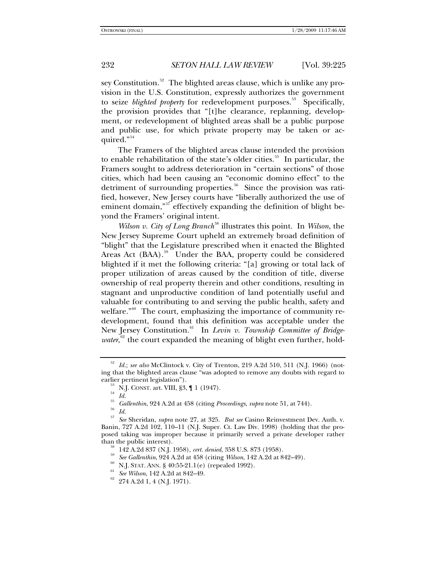sey Constitution.<sup>[52](#page-7-0)</sup> The blighted areas clause, which is unlike any provision in the U.S. Constitution, expressly authorizes the government to seize *blighted property* for redevelopment purposes.<sup>[53](#page-7-1)</sup> Specifically, the provision provides that "[t]he clearance, replanning, development, or redevelopment of blighted areas shall be a public purpose and public use, for which private property may be taken or ac-quired."<sup>[54](#page-7-2)</sup>

The Framers of the blighted areas clause intended the provision to enable rehabilitation of the state's older cities.<sup>[55](#page-7-3)</sup> In particular, the Framers sought to address deterioration in "certain sections" of those cities, which had been causing an "economic domino effect" to the detriment of surrounding properties.<sup>[56](#page-7-4)</sup> Since the provision was ratified, however, New Jersey courts have "liberally authorized the use of eminent domain,"<sup>[57](#page-7-5)</sup> effectively expanding the definition of blight beyond the Framers' original intent.

*Wilson v. City of Long Branch*<sup>[58](#page-7-6)</sup> illustrates this point. In *Wilson*, the New Jersey Supreme Court upheld an extremely broad definition of "blight" that the Legislature prescribed when it enacted the Blighted Areas Act (BAA).<sup>[59](#page-7-7)</sup> Under the BAA, property could be considered blighted if it met the following criteria: "[a] growing or total lack of proper utilization of areas caused by the condition of title, diverse ownership of real property therein and other conditions, resulting in stagnant and unproductive condition of land potentially useful and valuable for contributing to and serving the public health, safety and welfare." $60$  The court, emphasizing the importance of community redevelopment, found that this definition was acceptable under the New Jersey Constitution.<sup>[61](#page-7-9)</sup> In *Levin v. Township Committee of Bridge-*water,<sup>[62](#page-7-10)</sup> the court expanded the meaning of blight even further, hold-

<span id="page-7-10"></span>

<span id="page-7-1"></span><span id="page-7-0"></span><sup>52</sup> *Id.*; *see also* McClintock v. City of Trenton, 219 A.2d 510, 511 (N.J. 1966) (noting that the blighted areas clause "was adopted to remove any doubts with regard to

<sup>&</sup>lt;sup>53</sup> N.J. CONST. art. VIII, §3, ¶ 1 (1947).<br><sup>54</sup> *Id.* 65 N.J. CONST. art. 101 (1947).

<sup>55</sup> *Gallenthin*, 924 A.2d at 458 (citing *Proceedings*, *supra* note 51, at 744). 56 *Id.*

<span id="page-7-7"></span><span id="page-7-6"></span><span id="page-7-5"></span><span id="page-7-4"></span><span id="page-7-3"></span><span id="page-7-2"></span><sup>57</sup> *See* Sheridan, *supra* note 27, at 325. *But see* Casino Reinvestment Dev. Auth. v. Banin, 727 A.2d 102, 110–11 (N.J. Super. Ct. Law Div. 1998) (holding that the proposed taking was improper because it primarily served a private developer rather

<span id="page-7-8"></span><sup>&</sup>lt;sup>58</sup> 142 A.2d 837 (N.J. 1958), cert. denied, 358 U.S. 873 (1958).<br><sup>59</sup> *See Gallenthin*, 924 A.2d at 458 (citing *Wilson*, 142 A.2d at 842–49).<br><sup>60</sup> N.J. STAT. ANN. § 40:55-21.1(e) (repealed 1992).<br><sup>61</sup> *See Wilson*, 142

<span id="page-7-9"></span>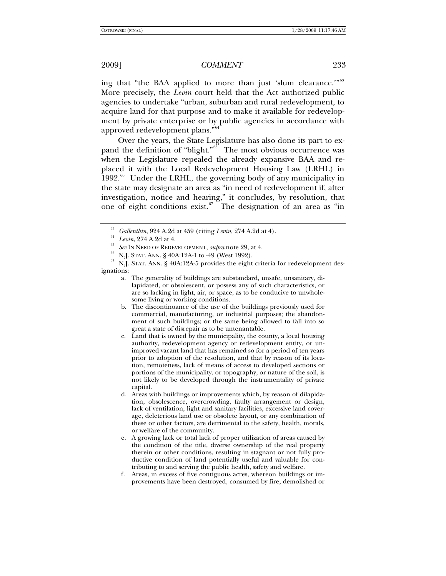ing that "the BAA applied to more than just 'slum clearance.'"<sup>[63](#page-8-0)</sup> More precisely, the *Levin* court held that the Act authorized public agencies to undertake "urban, suburban and rural redevelopment, to acquire land for that purpose and to make it available for redevelopment by private enterprise or by public agencies in accordance with approved redevelopment plans."<sup>6</sup>

Over the years, the State Legislature has also done its part to ex-pand the definition of "blight."<sup>[65](#page-8-2)</sup> The most obvious occurrence was when the Legislature repealed the already expansive BAA and replaced it with the Local Redevelopment Housing Law (LRHL) in 1992.<sup>[66](#page-8-3)</sup> Under the LRHL, the governing body of any municipality in the state may designate an area as "in need of redevelopment if, after investigation, notice and hearing," it concludes, by resolution, that one of eight conditions exist. $67$  The designation of an area as "in

<span id="page-8-4"></span><span id="page-8-3"></span><span id="page-8-2"></span><span id="page-8-1"></span><span id="page-8-0"></span><sup>&</sup>lt;sup>63</sup> *Gallenthin*, 924 A.2d at 459 (citing *Levin*, 274 A.2d at 4).<br><sup>64</sup> *Levin*, 274 A.2d at 4.<br><sup>65</sup> *See* IN NEED OF REDEVELOPMENT, *supra* note 29, at 4.<br><sup>65</sup> N.J. STAT. ANN. § 40A:12A-1 to -49 (West 1992).<br><sup>67</sup> N.J. S ignations:

a. The generality of buildings are substandard, unsafe, unsanitary, dilapidated, or obsolescent, or possess any of such characteristics, or are so lacking in light, air, or space, as to be conducive to unwholesome living or working conditions.

b. The discontinuance of the use of the buildings previously used for commercial, manufacturing, or industrial purposes; the abandonment of such buildings; or the same being allowed to fall into so great a state of disrepair as to be untenantable.

c. Land that is owned by the municipality, the county, a local housing authority, redevelopment agency or redevelopment entity, or unimproved vacant land that has remained so for a period of ten years prior to adoption of the resolution, and that by reason of its location, remoteness, lack of means of access to developed sections or portions of the municipality, or topography, or nature of the soil, is not likely to be developed through the instrumentality of private capital.

d. Areas with buildings or improvements which, by reason of dilapidation, obsolescence, overcrowding, faulty arrangement or design, lack of ventilation, light and sanitary facilities, excessive land coverage, deleterious land use or obsolete layout, or any combination of these or other factors, are detrimental to the safety, health, morals, or welfare of the community.

e. A growing lack or total lack of proper utilization of areas caused by the condition of the title, diverse ownership of the real property therein or other conditions, resulting in stagnant or not fully productive condition of land potentially useful and valuable for contributing to and serving the public health, safety and welfare.

f. Areas, in excess of five contiguous acres, whereon buildings or improvements have been destroyed, consumed by fire, demolished or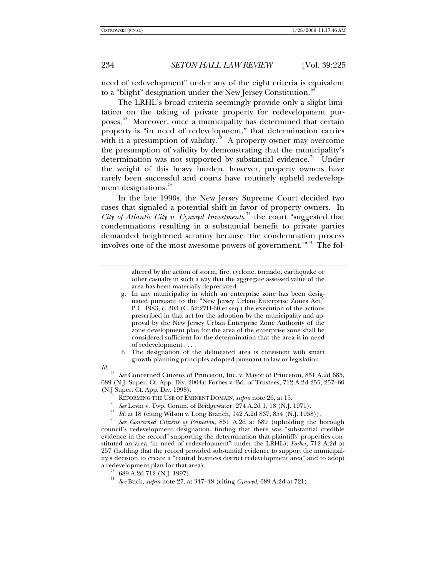need of redevelopment" under any of the eight criteria is equivalent to a "blight" designation under the New Jersey Constitution.<sup>[68](#page-9-0)</sup>

The LRHL's broad criteria seemingly provide only a slight limitation on the taking of private property for redevelopment purposes.[69](#page-9-1) Moreover, once a municipality has determined that certain property is "in need of redevelopment," that determination carries with it a presumption of validity.<sup>[70](#page-9-2)</sup> A property owner may overcome the presumption of validity by demonstrating that the municipality's determination was not supported by substantial evidence.<sup>[71](#page-9-3)</sup> Under the weight of this heavy burden, however, property owners have rarely been successful and courts have routinely upheld redevelop-ment designations.<sup>[72](#page-9-4)</sup>

In the late 1990s, the New Jersey Supreme Court decided two cases that signaled a potential shift in favor of property owners. In *City of Atlantic City v. Cynwyd Investments*, [73](#page-9-5) the court "suggested that condemnations resulting in a substantial benefit to private parties demanded heightened scrutiny because 'the condemnation process involves one of the most awesome powers of government."<sup>[74](#page-9-6)</sup> The fol-

> altered by the action of storm, fire, cyclone, tornado, earthquake or other casualty in such a way that the aggregate assessed value of the area has been materially depreciated.

h. The designation of the delineated area is consistent with smart growth planning principles adopted pursuant to law or legislation.

<span id="page-9-0"></span>*Id.* <sup>68</sup> *See* Concerned Citizens of Princeton, Inc. v. Mayor of Princeton, 851 A.2d 685, 689 (N.J. Super. Ct. App. Div. 2004); Forbes v. Bd. of Trustees, 712 A.2d 255, 257–60

- 
- 
- 

<span id="page-9-4"></span><span id="page-9-3"></span><span id="page-9-2"></span><span id="page-9-1"></span><sup>69</sup> REFORMING THE USE OF EMINENT DOMAIN, *supra* note 26, at 15.<br><sup>70</sup> *See* Levin v. Twp. Comm. of Bridgewater, 274 A.2d 1, 18 (N.J. 1971).<br><sup>71</sup> *Id.* at 18 (citing Wilson v. Long Branch, 142 A.2d 837, 854 (N.J. 1958)).<br> council's redevelopment designation, finding that there was "substantial credible evidence in the record" supporting the determination that plaintiffs' properties constituted an area "in need of redevelopment" under the LRHL); *Forbes*, 712 A.2d at 257 (holding that the record provided substantial evidence to support the municipality's decision to create a "central business district redevelopment area" and to adopt a redevelopment plan for that area).<br> $^{73}$  689 A.2d 712 (N.J. 1997).<br> $^{74}$  See Bush, suture ats 97, at 347.

- <span id="page-9-6"></span><span id="page-9-5"></span>
- <sup>74</sup> *See* Buck, *supra* note 27, at 347–48 (citing *Cynwyd*, 689 A.2d at 721).

g. In any municipality in which an enterprise zone has been designated pursuant to the "New Jersey Urban Enterprise Zones Act," P.L. 1983, c. 303 (C. 52:27H-60 et seq.) the execution of the actions prescribed in that act for the adoption by the municipality and approval by the New Jersey Urban Enterprise Zone Authority of the zone development plan for the area of the enterprise zone shall be considered sufficient for the determination that the area is in need of redevelopment . . . .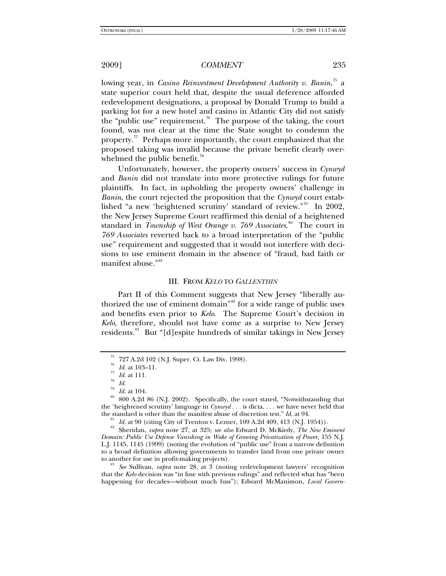lowing year, in *Casino Reinvestment Development Authority v. Banin*,<sup>[75](#page-10-0)</sup> a state superior court held that, despite the usual deference afforded redevelopment designations, a proposal by Donald Trump to build a parking lot for a new hotel and casino in Atlantic City did not satisfy the "public use" requirement.<sup>[76](#page-10-1)</sup> The purpose of the taking, the court found, was not clear at the time the State sought to condemn the property.<sup>[77](#page-10-2)</sup> Perhaps more importantly, the court emphasized that the proposed taking was invalid because the private benefit clearly overwhelmed the public benefit. $\frac{78}{15}$  $\frac{78}{15}$  $\frac{78}{15}$ 

Unfortunately, however, the property owners' success in *Cynwyd*  and *Banin* did not translate into more protective rulings for future plaintiffs. In fact, in upholding the property owners' challenge in *Banin*, the court rejected the proposition that the *Cynwyd* court established "a new 'heightened scrutiny' standard of review."[79](#page-10-4) In 2002, the New Jersey Supreme Court reaffirmed this denial of a heightened standard in *Township of West Orange v. 769 Associates*. [80](#page-10-5) The court in *769 Associates* reverted back to a broad interpretation of the "public use" requirement and suggested that it would not interfere with decisions to use eminent domain in the absence of "fraud, bad faith or manifest abuse."<sup>[81](#page-10-6)</sup>

### III. FROM *KELO* TO *GALLENTHIN*

Part II of this Comment suggests that New Jersey "liberally au-thorized the use of eminent domain<sup>"[82](#page-10-7)</sup> for a wide range of public uses and benefits even prior to *Kelo*. The Supreme Court's decision in *Kelo*, therefore, should not have come as a surprise to New Jersey residents.<sup>[83](#page-10-8)</sup> But "[d]espite hundreds of similar takings in New Jersey

<span id="page-10-7"></span><span id="page-10-6"></span>the standard is other than the manifest abuse of discretion test." *Id.* at 94.<br><sup>81</sup> *Id.* at 90 (citing City of Trenton v. Lezner, 109 A.2d 409, 413 (N.J. 1954)).<br><sup>82</sup> Sheridan, *supra* note 27, at 325; *see also* Edward *Domain: Public Use Defense Vanishing in Wake of Growing Privatization of Power*, 155 N.J. L.J. 1145, 1145 (1999) (noting the evolution of "public use" from a narrow definition to a broad definition allowing governments to transfer land from one private owner

<span id="page-10-8"></span>See Sullivan, *supra* note 28, at 3 (noting redevelopment lawyers' recognition that the *Kelo* decision was "in line with previous rulings" and reflected what has "been happening for decades—without much fuss"); Edward McManimon, *Local Govern-*

 $^{75}$  727 A.2d 102 (N.J. Super. Ct. Law Div. 1998).<br> $^{76}$  *Id.* at 103–11.

<sup>&</sup>lt;sup>77</sup> *Id.* at 111.<br><sup>78</sup> *Id. Id.* at 104.

<span id="page-10-5"></span><span id="page-10-4"></span><span id="page-10-3"></span><span id="page-10-2"></span><span id="page-10-1"></span><span id="page-10-0"></span><sup>&</sup>lt;sup>80</sup> 800 A.2d 86 (N.J. 2002). Specifically, the court stated, "Notwithstanding that the 'heightened scrutiny' language in *Cynwyd* . . . is dicta, . . . we have never held that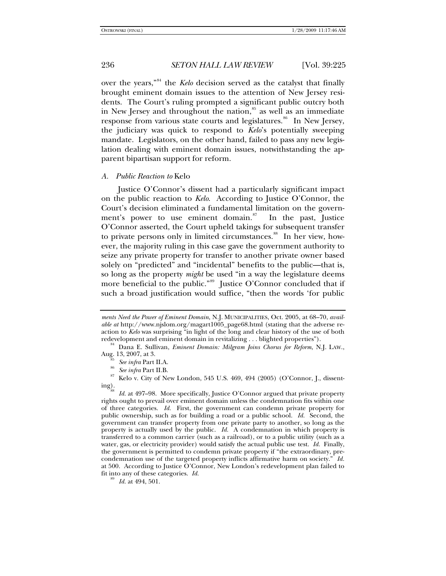over the years,"[84](#page-11-0) the *Kelo* decision served as the catalyst that finally brought eminent domain issues to the attention of New Jersey residents. The Court's ruling prompted a significant public outcry both in New Jersey and throughout the nation, $\frac{85}{5}$  $\frac{85}{5}$  $\frac{85}{5}$  as well as an immediate response from various state courts and legislatures.<sup>[86](#page-11-2)</sup> In New Jersey, the judiciary was quick to respond to *Kelo*'s potentially sweeping mandate. Legislators, on the other hand, failed to pass any new legislation dealing with eminent domain issues, notwithstanding the apparent bipartisan support for reform.

## *A. Public Reaction to* Kelo

Justice O'Connor's dissent had a particularly significant impact on the public reaction to *Kelo*. According to Justice O'Connor, the Court's decision eliminated a fundamental limitation on the govern-ment's power to use eminent domain.<sup>[87](#page-11-3)</sup> In the past, Justice O'Connor asserted, the Court upheld takings for subsequent transfer to private persons only in limited circumstances.<sup>[88](#page-11-4)</sup> In her view, however, the majority ruling in this case gave the government authority to seize any private property for transfer to another private owner based solely on "predicted" and "incidental" benefits to the public—that is, so long as the property *might* be used "in a way the legislature deems more beneficial to the public."<sup>[89](#page-11-5)</sup> Justice O'Connor concluded that if such a broad justification would suffice, "then the words 'for public

*ments Need the Power of Eminent Domain*, N.J. MUNICIPALITIES, Oct. 2005, at 68–70, *available at* http://www.njslom.org/magart1005\_page68.html (stating that the adverse reaction to *Kelo* was surprising "in light of the long and clear history of the use of both redevelopment and eminent domain in revitalizing . . . blighted properties").

<span id="page-11-0"></span><sup>&</sup>lt;sup>84</sup> Dana E. Sullivan, *Eminent Domain: Milgram Joins Chorus for Reform*, N.J. LAW., *Aug.* 13, 2007, at 3.

<span id="page-11-3"></span><span id="page-11-2"></span><span id="page-11-1"></span><sup>&</sup>lt;sup>86</sup> *See infra* Part II.A.<br><sup>86</sup> *See infra* Part II.B.<br><sup>87</sup> Kelo v. City of New London, 545 U.S. 469, 494 (2005) (O'Connor, J., dissent-<br>ing).

<span id="page-11-4"></span>Id. at 497–98. More specifically, Justice O'Connor argued that private property rights ought to prevail over eminent domain unless the condemnation fits within one of three categories. *Id.* First, the government can condemn private property for public ownership, such as for building a road or a public school. *Id.* Second, the government can transfer property from one private party to another, so long as the property is actually used by the public. *Id.* A condemnation in which property is transferred to a common carrier (such as a railroad), or to a public utility (such as a water, gas, or electricity provider) would satisfy the actual public use test. *Id.* Finally, the government is permitted to condemn private property if "the extraordinary, precondemnation use of the targeted property inflicts affirmative harm on society." *Id.*  at 500. According to Justice O'Connor, New London's redevelopment plan failed to fit into any of these categories. *Id.* <sup>89</sup> *Id.* at 494, 501.

<span id="page-11-5"></span>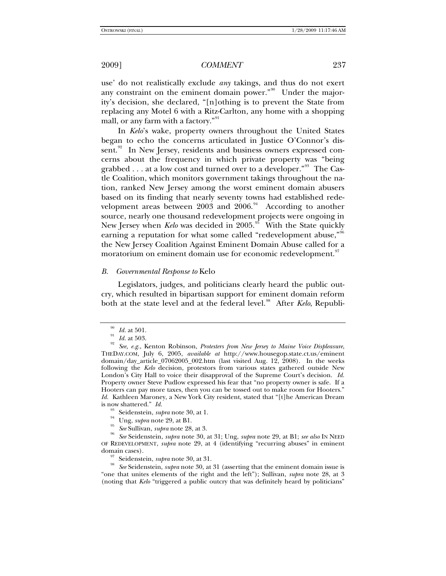use' do not realistically exclude *any* takings, and thus do not exert any constraint on the eminent domain power."<sup>[90](#page-12-0)</sup> Under the majority's decision, she declared, "[n]othing is to prevent the State from replacing any Motel 6 with a Ritz-Carlton, any home with a shopping mall, or any farm with a factory."<sup>[91](#page-12-1)</sup>

In *Kelo*'s wake, property owners throughout the United States began to echo the concerns articulated in Justice O'Connor's dis-sent.<sup>[92](#page-12-2)</sup> In New Jersey, residents and business owners expressed concerns about the frequency in which private property was "being grabbed . . . at a low cost and turned over to a developer."<sup>[93](#page-12-3)</sup> The Castle Coalition, which monitors government takings throughout the nation, ranked New Jersey among the worst eminent domain abusers based on its finding that nearly seventy towns had established rede-velopment areas between 2003 and 2006.<sup>[94](#page-12-4)</sup> According to another source, nearly one thousand redevelopment projects were ongoing in New Jersey when *Kelo* was decided in 2005.<sup>[95](#page-12-5)</sup> With the State quickly earning a reputation for what some called "redevelopment abuse,"<sup>[96](#page-12-6)</sup> the New Jersey Coalition Against Eminent Domain Abuse called for a moratorium on eminent domain use for economic redevelopment.<sup>[97](#page-12-7)</sup>

## *B. Governmental Response to* Kelo

Legislators, judges, and politicians clearly heard the public outcry, which resulted in bipartisan support for eminent domain reform both at the state level and at the federal level.<sup>[98](#page-12-8)</sup> After *Kelo*, Republi-

<span id="page-12-8"></span><span id="page-12-7"></span><span id="page-12-6"></span><span id="page-12-5"></span>domain cases).<br><sup>97</sup> Seidenstein, *supra* note 30, at 31.<br><sup>98</sup> See Seidenstein, *supra* note 30, at 31 (asserting that the eminent domain issue is "one that unites elements of the right and the left"); Sullivan, *supra* note 28, at 3 (noting that *Kelo* "triggered a public outcry that was definitely heard by politicians"

<span id="page-12-2"></span><span id="page-12-1"></span><span id="page-12-0"></span><sup>90</sup> *Id.* at 501. 91 *Id.* at 503. 92 *See, e.g.*, Kenton Robinson, *Protesters from New Jersey to Maine Voice Displeasure*, THEDAY.COM, July 6, 2005, *available at* http://www.housegop.state.ct.us/eminent domain/day\_article\_07062005\_002.htm (last visited Aug. 12, 2008). In the weeks following the *Kelo* decision, protestors from various states gathered outside New London's City Hall to voice their disapproval of the Supreme Court's decision. *Id.* Property owner Steve Pudlow expressed his fear that "no property owner is safe. If a Hooters can pay more taxes, then you can be tossed out to make room for Hooters." *Id.* Kathleen Maroney, a New York City resident, stated that "[t]he American Dream

<span id="page-12-4"></span><span id="page-12-3"></span>is now shattered." Id.<br>
<sup>93</sup> Seidenstein, *supra* note 30, at 1.<br>
<sup>95</sup> Ung, *supra* note 29, at B1.<br>
<sup>95</sup> See Sullivan, *supra* note 28, at 3.<br>
<sup>95</sup> See Seidenstein, *supra* note 30, at 31; Ung, *supra* note 29, at B1; *s* OF REDEVELOPMENT, *supra* note 29, at 4 (identifying "recurring abuses" in eminent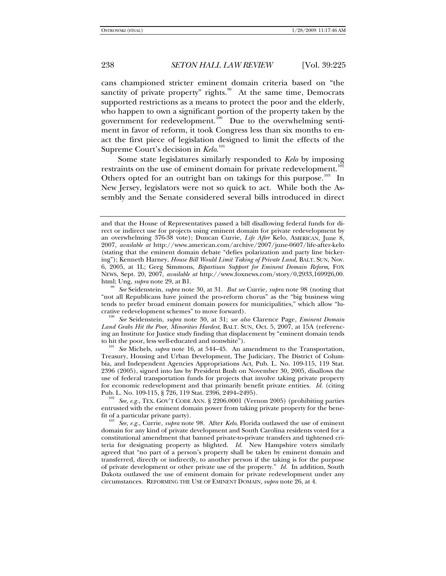cans championed stricter eminent domain criteria based on "the sanctity of private property" rights. $99$  At the same time, Democrats supported restrictions as a means to protect the poor and the elderly, who happen to own a significant portion of the property taken by the government for redevelopment.<sup>[100](#page-13-1)</sup> Due to the overwhelming sentiment in favor of reform, it took Congress less than six months to enact the first piece of legislation designed to limit the effects of the Supreme Court's decision in *Kelo*. [101](#page-13-2)

Some state legislatures similarly responded to *Kelo* by imposing restraints on the use of eminent domain for private redevelopment.<sup>1</sup> Others opted for an outright ban on takings for this purpose.<sup>[103](#page-13-4)</sup> In New Jersey, legislators were not so quick to act. While both the Assembly and the Senate considered several bills introduced in direct

<span id="page-13-1"></span>crative redevelopment schemes" to move forward). 100 *See* Seidenstein, *supra* note 30, at 31; *see also* Clarence Page, *Eminent Domain Land Grabs Hit the Poor, Minorities Hardest*, BALT. SUN, Oct. 5, 2007, at 15A (referencing an Institute for Justice study finding that displacement by "eminent domain tends

<span id="page-13-2"></span><sup>101</sup> See Michels, *supra* note 16, at 544–45. An amendment to the Transportation, Treasury, Housing and Urban Development, The Judiciary, The District of Columbia, and Independent Agencies Appropriations Act, Pub. L. No. 109-115, 119 Stat. 2396 (2005), signed into law by President Bush on November 30, 2005, disallows the use of federal transportation funds for projects that involve taking private property for economic redevelopment and that primarily benefit private entities. *Id.* (citing Pub. L. No. 109-115, § 726, 119 Stat. 2396, 2494–2495). 102 *See, e.g.*, TEX. GOV'T CODE ANN. § 2206.0001 (Vernon 2005) (prohibiting parties

<span id="page-13-3"></span>entrusted with the eminent domain power from taking private property for the bene-

<span id="page-13-4"></span>*See, e.g., Currie, supra* note 98. After *Kelo*, Florida outlawed the use of eminent domain for any kind of private development and South Carolina residents voted for a constitutional amendment that banned private-to-private transfers and tightened criteria for designating property as blighted. *Id*. New Hampshire voters similarly agreed that "no part of a person's property shall be taken by eminent domain and transferred, directly or indirectly, to another person if the taking is for the purpose of private development or other private use of the property." *Id.* In addition, South Dakota outlawed the use of eminent domain for private redevelopment under any circumstances. REFORMING THE USE OF EMINENT DOMAIN, *supra* note 26, at 4.

and that the House of Representatives passed a bill disallowing federal funds for direct or indirect use for projects using eminent domain for private redevelopment by an overwhelming 376-38 vote); Duncan Currie, *Life After* Kelo, AMERICAN, June 8, 2007, *available at* http://www.american.com/archive/2007/june-0607/life-after-kelo (stating that the eminent domain debate "defies polarization and party line bickering"); Kenneth Harney, *House Bill Would Limit Taking of Private Land*, BALT. SUN, Nov. 6, 2005, at 1L; Greg Simmons, *Bipartisan Support for Eminent Domain Reform*, FOX NEWS, Sept. 20, 2007, *available at* http://www.foxnews.com/story/0,2933,169926,00. html; Ung, *supra* note 29, at B1. 99 *See* Seidenstein, *supra* note 30, at 31. *But see* Currie, *supra* note 98 (noting that

<span id="page-13-0"></span><sup>&</sup>quot;not all Republicans have joined the pro-reform chorus" as the "big business wing tends to prefer broad eminent domain powers for municipalities," which allow "lu-<br>crative redevelopment schemes" to move forward).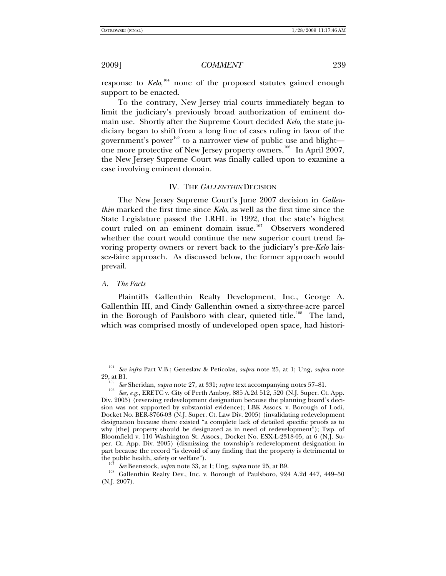response to *Kelo*,<sup>[104](#page-14-0)</sup> none of the proposed statutes gained enough support to be enacted.

To the contrary, New Jersey trial courts immediately began to limit the judiciary's previously broad authorization of eminent domain use. Shortly after the Supreme Court decided *Kelo*, the state judiciary began to shift from a long line of cases ruling in favor of the government's power<sup>[105](#page-14-1)</sup> to a narrower view of public use and blight— one more protective of New Jersey property owners.<sup>[106](#page-14-2)</sup> In April 2007, the New Jersey Supreme Court was finally called upon to examine a case involving eminent domain.

### IV. THE *GALLENTHIN* DECISION

The New Jersey Supreme Court's June 2007 decision in *Gallenthin* marked the first time since *Kelo*, as well as the first time since the State Legislature passed the LRHL in 1992, that the state's highest court ruled on an eminent domain issue.<sup>[107](#page-14-3)</sup> Observers wondered whether the court would continue the new superior court trend favoring property owners or revert back to the judiciary's pre-*Kelo* laissez-faire approach. As discussed below, the former approach would prevail.

## *A. The Facts*

Plaintiffs Gallenthin Realty Development, Inc., George A. Gallenthin III, and Cindy Gallenthin owned a sixty-three-acre parcel in the Borough of Paulsboro with clear, quieted title.<sup>[108](#page-14-4)</sup> The land, which was comprised mostly of undeveloped open space, had histori-

<span id="page-14-0"></span><sup>104</sup> *See infra* Part V.B.; Geneslaw & Peticolas, *supra* note 25, at 1; Ung, *supra* note

<span id="page-14-2"></span><span id="page-14-1"></span><sup>29,</sup> at B1. 105 *See* Sheridan, *supra* note 27, at 331; *supra* text accompanying notes 57–81. 106 *See, e.g.*, ERETC v. City of Perth Amboy, 885 A.2d 512, 520 (N.J. Super. Ct. App. Div. 2005) (reversing redevelopment designation because the planning board's decision was not supported by substantial evidence); LBK Assocs. v. Borough of Lodi, Docket No. BER-8766-03 (N.J. Super. Ct. Law Div. 2005) (invalidating redevelopment designation because there existed "a complete lack of detailed specific proofs as to why [the] property should be designated as in need of redevelopment"); Twp. of Bloomfield v. 110 Washington St. Assocs., Docket No. ESX-L-2318-05, at 6 (N.J. Super. Ct. App. Div. 2005) (dismissing the township's redevelopment designation in part because the record "is devoid of any finding that the property is detrimental to

<span id="page-14-4"></span><span id="page-14-3"></span>the public health, safety or welfare").<br><sup>107</sup> See Beenstock, *supra* note 33, at 1; Ung, *supra* note 25, at B9.<br><sup>108</sup> Gallenthin Realty Dev., Inc. v. Borough of Paulsboro, 924 A.2d 447, 449–50 (N.J. 2007).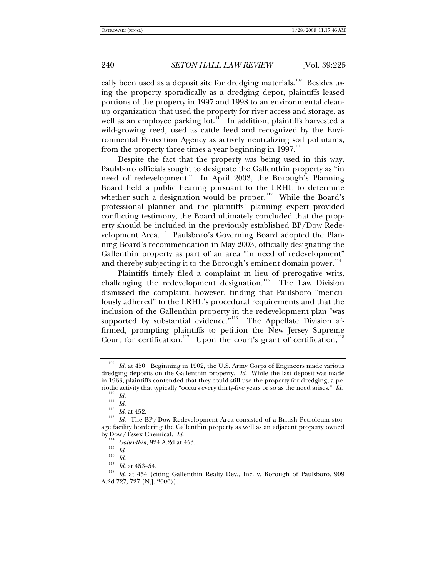cally been used as a deposit site for dredging materials.<sup>[109](#page-15-0)</sup> Besides using the property sporadically as a dredging depot, plaintiffs leased portions of the property in 1997 and 1998 to an environmental cleanup organization that used the property for river access and storage, as well as an employee parking lot. $110$  In addition, plaintiffs harvested a wild-growing reed, used as cattle feed and recognized by the Environmental Protection Agency as actively neutralizing soil pollutants, from the property three times a year beginning in  $1997$ .<sup>[111](#page-15-2)</sup>

Despite the fact that the property was being used in this way, Paulsboro officials sought to designate the Gallenthin property as "in need of redevelopment." In April 2003, the Borough's Planning Board held a public hearing pursuant to the LRHL to determine whether such a designation would be proper.<sup>[112](#page-15-3)</sup> While the Board's professional planner and the plaintiffs' planning expert provided conflicting testimony, the Board ultimately concluded that the property should be included in the previously established BP/Dow Rede-velopment Area.<sup>[113](#page-15-4)</sup> Paulsboro's Governing Board adopted the Planning Board's recommendation in May 2003, officially designating the Gallenthin property as part of an area "in need of redevelopment" and thereby subjecting it to the Borough's eminent domain power. $114$ 

Plaintiffs timely filed a complaint in lieu of prerogative writs, challenging the redevelopment designation.<sup>[115](#page-15-6)</sup> The Law Division dismissed the complaint, however, finding that Paulsboro "meticulously adhered" to the LRHL's procedural requirements and that the inclusion of the Gallenthin property in the redevelopment plan "was supported by substantial evidence."<sup>[116](#page-15-7)</sup> The Appellate Division affirmed, prompting plaintiffs to petition the New Jersey Supreme Court for certification.<sup>[117](#page-15-8)</sup> Upon the court's grant of certification,<sup>[118](#page-15-9)</sup>

<span id="page-15-0"></span><sup>&</sup>lt;sup>109</sup> Id. at 450. Beginning in 1902, the U.S. Army Corps of Engineers made various dredging deposits on the Gallenthin property. *Id.* While the last deposit was made in 1963, plaintiffs contended that they could still use the property for dredging, a pe-<br>riodic activity that typically "occurs every thirty-five years or so as the need arises."  $Id$ .

<span id="page-15-3"></span><span id="page-15-2"></span><span id="page-15-1"></span><sup>&</sup>lt;sup>110</sup> *Id.*<br><sup>112</sup> *Id.* at 452.<br><sup>112</sup> *Id.* at 452.<br>*Id.* The BP/Dow Redevelopment Area consisted of a British Petroleum storage facility bordering the Gallenthin property as well as an adjacent property owned by  $\text{Down}/\text{Essex}$  Chemical. Id.

<span id="page-15-9"></span><span id="page-15-8"></span><span id="page-15-7"></span><span id="page-15-6"></span><span id="page-15-5"></span><span id="page-15-4"></span>by Down, Essex Chemical. 114<br> *Id. Id. Id. Id. Id. Id. Id.* at 453–54.<br>
<sup>117</sup> *Id.* at 454 (citing Gallenthin Realty Dev., Inc. v. Borough of Paulsboro, 909 A.2d 727, 727 (N.J. 2006)).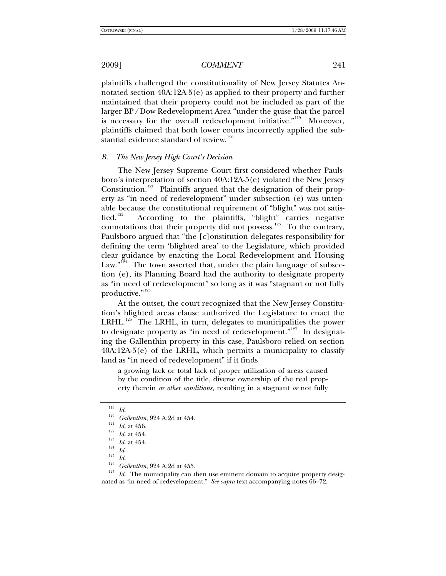plaintiffs challenged the constitutionality of New Jersey Statutes Annotated section 40A:12A-5(e) as applied to their property and further maintained that their property could not be included as part of the larger BP/Dow Redevelopment Area "under the guise that the parcel is necessary for the overall redevelopment initiative."<sup>[119](#page-16-0)</sup> Moreover, plaintiffs claimed that both lower courts incorrectly applied the sub-stantial evidence standard of review.<sup>[120](#page-16-1)</sup>

### *B. The New Jersey High Court's Decision*

The New Jersey Supreme Court first considered whether Paulsboro's interpretation of section 40A:12A-5(e) violated the New Jersey Constitution.<sup>[121](#page-16-2)</sup> Plaintiffs argued that the designation of their property as "in need of redevelopment" under subsection (e) was untenable because the constitutional requirement of "blight" was not satis-fied.<sup>[122](#page-16-3)</sup> According to the plaintiffs, "blight" carries negative connotations that their property did not possess.<sup>[123](#page-16-4)</sup> To the contrary, Paulsboro argued that "the [c]onstitution delegates responsibility for defining the term 'blighted area' to the Legislature, which provided clear guidance by enacting the Local Redevelopment and Housing Law." $124$  The town asserted that, under the plain language of subsection (e), its Planning Board had the authority to designate property as "in need of redevelopment" so long as it was "stagnant or not fully productive."<sup>[125](#page-16-6)</sup>

At the outset, the court recognized that the New Jersey Constitution's blighted areas clause authorized the Legislature to enact the LRHL.<sup>[126](#page-16-7)</sup> The LRHL, in turn, delegates to municipalities the power to designate property as "in need of redevelopment."<sup>[127](#page-16-8)</sup> In designating the Gallenthin property in this case, Paulsboro relied on section 40A:12A-5(e) of the LRHL, which permits a municipality to classify land as "in need of redevelopment" if it finds

a growing lack or total lack of proper utilization of areas caused by the condition of the title, diverse ownership of the real property therein *or other conditions*, resulting in a stagnant *or* not fully

<span id="page-16-4"></span><span id="page-16-3"></span><span id="page-16-2"></span><span id="page-16-1"></span><span id="page-16-0"></span><sup>119</sup> *Id.*<br><sup>120</sup> *Gallenthin*, 924 A.2d at 454.<br><sup>121</sup> *Id.* at 456.<br><sup>122</sup> *Id.* at 454.<br><sup>123</sup> *Id.* at 454.<br><sup>125</sup> *Id.*<br><sup>126</sup> *Gallenthin*, 924 A.2d at 455.<br><sup>126</sup> *Id.* The municipality can then use eminent domain to acq nated as "in need of redevelopment." *See supra* text accompanying notes 66–72.

<span id="page-16-5"></span>

<span id="page-16-7"></span><span id="page-16-6"></span>

<span id="page-16-8"></span>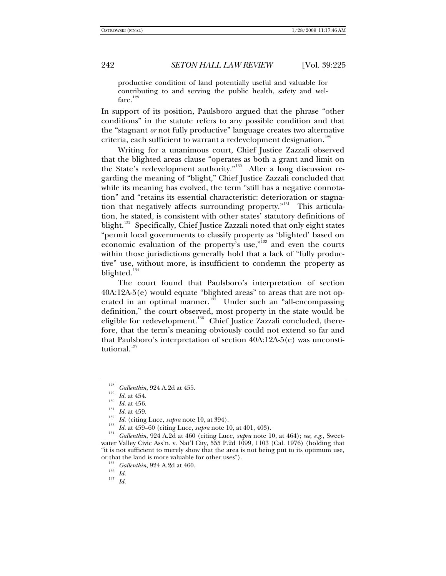productive condition of land potentially useful and valuable for contributing to and serving the public health, safety and wel-fare.<sup>[128](#page-17-0)</sup>

In support of its position, Paulsboro argued that the phrase "other conditions" in the statute refers to any possible condition and that the "stagnant *or* not fully productive" language creates two alternative criteria, each sufficient to warrant a redevelopment designation.<sup>[129](#page-17-1)</sup>

Writing for a unanimous court, Chief Justice Zazzali observed that the blighted areas clause "operates as both a grant and limit on the State's redevelopment authority."<sup>[130](#page-17-2)</sup> After a long discussion regarding the meaning of "blight," Chief Justice Zazzali concluded that while its meaning has evolved, the term "still has a negative connotation" and "retains its essential characteristic: deterioration or stagna-tion that negatively affects surrounding property."<sup>[131](#page-17-3)</sup> This articulation, he stated, is consistent with other states' statutory definitions of blight.<sup>[132](#page-17-4)</sup> Specifically, Chief Justice Zazzali noted that only eight states "permit local governments to classify property as 'blighted' based on economic evaluation of the property's use,"<sup>[133](#page-17-5)</sup> and even the courts within those jurisdictions generally hold that a lack of "fully productive" use, without more, is insufficient to condemn the property as blighted.<sup>[134](#page-17-6)</sup>

The court found that Paulsboro's interpretation of section 40A:12A-5(e) would equate "blighted areas" to areas that are not op-erated in an optimal manner.<sup>[135](#page-17-7)</sup> Under such an "all-encompassing" definition," the court observed, most property in the state would be eligible for redevelopment.<sup>[136](#page-17-8)</sup> Chief Justice Zazzali concluded, therefore, that the term's meaning obviously could not extend so far and that Paulsboro's interpretation of section 40A:12A-5(e) was unconsti-tutional.<sup>[137](#page-17-9)</sup>

<span id="page-17-9"></span>

<span id="page-17-5"></span>

<span id="page-17-6"></span>

<span id="page-17-4"></span><span id="page-17-3"></span><span id="page-17-2"></span><span id="page-17-1"></span><span id="page-17-0"></span><sup>&</sup>lt;sup>128</sup> *Gallenthin*, 924 A.2d at 455.<br>
<sup>129</sup> *Id.* at 454.<br> *Id.* at 456.<br> *Id.* at 459.<br>
<sup>132</sup> *Id.* (citing Luce, *supra* note 10, at 394).<br>
<sup>133</sup> *Id.* at 459–60 (citing Luce, *supra* note 10, at 401, 403).<br>
<sup>133</sup> *Id.* water Valley Civic Ass'n. v. Nat'l City, 555 P.2d 1099, 1103 (Cal. 1976) (holding that "it is not sufficient to merely show that the area is not being put to its optimum use, or that the land is more valuable for other uses").<br>
<sup>135</sup> *Gallenthin*, 924 A.2d at 460.<br>
<sup>136</sup> *Id.* 137 *Id.* 

<span id="page-17-8"></span><span id="page-17-7"></span>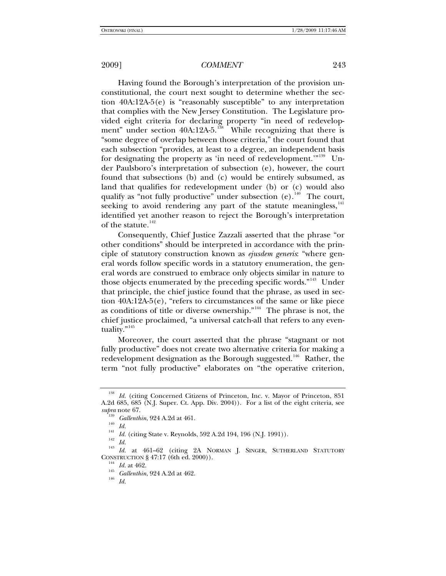Having found the Borough's interpretation of the provision unconstitutional, the court next sought to determine whether the section 40A:12A-5(e) is "reasonably susceptible" to any interpretation that complies with the New Jersey Constitution. The Legislature provided eight criteria for declaring property "in need of redevelopment" under section  $40A:12A-5$ .<sup>[138](#page-18-0)</sup> While recognizing that there is "some degree of overlap between those criteria," the court found that each subsection "provides, at least to a degree, an independent basis for designating the property as 'in need of redevelopment.'"<sup>[139](#page-18-1)</sup> Under Paulsboro's interpretation of subsection (e), however, the court found that subsections (b) and (c) would be entirely subsumed, as land that qualifies for redevelopment under (b) or (c) would also qualify as "not fully productive" under subsection  $(e)$ . <sup>[140](#page-18-2)</sup> The court, seeking to avoid rendering any part of the statute meaningless,  $141$ identified yet another reason to reject the Borough's interpretation of the statute.<sup>[142](#page-18-4)</sup>

Consequently, Chief Justice Zazzali asserted that the phrase "or other conditions" should be interpreted in accordance with the principle of statutory construction known as *ejusdem generis*: "where general words follow specific words in a statutory enumeration, the general words are construed to embrace only objects similar in nature to those objects enumerated by the preceding specific words."<sup>[143](#page-18-5)</sup> Under that principle, the chief justice found that the phrase, as used in section  $40A:12A-5(e)$ , "refers to circumstances of the same or like piece as conditions of title or diverse ownership."[144](#page-18-6) The phrase is not, the chief justice proclaimed, "a universal catch-all that refers to any even-tuality."<sup>[145](#page-18-7)</sup>

Moreover, the court asserted that the phrase "stagnant or not fully productive" does not create two alternative criteria for making a redevelopment designation as the Borough suggested.<sup>[146](#page-18-8)</sup> Rather, the term "not fully productive" elaborates on "the operative criterion,

<span id="page-18-0"></span><sup>&</sup>lt;sup>138</sup> Id. (citing Concerned Citizens of Princeton, Inc. v. Mayor of Princeton, 851 A.2d 685, 685 (N.J. Super. Ct. App. Div. 2004)). For a list of the eight criteria, see

<span id="page-18-5"></span><span id="page-18-4"></span><span id="page-18-3"></span><span id="page-18-2"></span><span id="page-18-1"></span><sup>&</sup>lt;sup>119</sup> *Gallenthin*, 924 A.2d at 461.<br>
<sup>140</sup> *Id.*<br>
<sup>141</sup> *Id.* (citing State v. Reynolds, 592 A.2d 194, 196 (N.J. 1991)).<br>
<sup>142</sup> *Id.*<br>
<sup>143</sup> *Id.* at 461–62 (citing 2A NORMAN J. SINGER, SUTHERLAND STATUTORY<br>
CONSTRUCTIO

<span id="page-18-8"></span><span id="page-18-7"></span><span id="page-18-6"></span>

<sup>&</sup>lt;sup>144</sup> *Id.* at 462.<br><sup>145</sup> *Gallenthin*, 924 A.2d at 462.<br>*Id. Id.*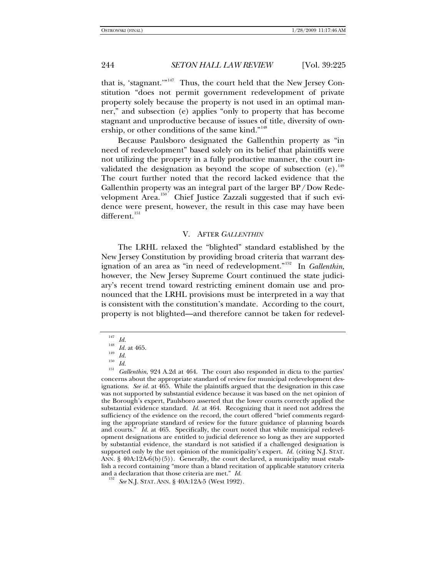that is, 'stagnant.' $n_{147}$  $n_{147}$  $n_{147}$  Thus, the court held that the New Jersey Constitution "does not permit government redevelopment of private property solely because the property is not used in an optimal manner," and subsection (e) applies "only to property that has become stagnant and unproductive because of issues of title, diversity of own-ership, or other conditions of the same kind."<sup>[148](#page-19-1)</sup>

Because Paulsboro designated the Gallenthin property as "in need of redevelopment" based solely on its belief that plaintiffs were not utilizing the property in a fully productive manner, the court invalidated the designation as beyond the scope of subsection  $(e).$ <sup>[149](#page-19-2)</sup> The court further noted that the record lacked evidence that the Gallenthin property was an integral part of the larger BP/Dow Rede-velopment Area.<sup>[150](#page-19-3)</sup> Chief Justice Zazzali suggested that if such evidence were present, however, the result in this case may have been different.<sup>[151](#page-19-4)</sup>

### V. AFTER *GALLENTHIN*

The LRHL relaxed the "blighted" standard established by the New Jersey Constitution by providing broad criteria that warrant designation of an area as "in need of redevelopment."[152](#page-19-5) In *Gallenthin*, however, the New Jersey Supreme Court continued the state judiciary's recent trend toward restricting eminent domain use and pronounced that the LRHL provisions must be interpreted in a way that is consistent with the constitution's mandate. According to the court, property is not blighted—and therefore cannot be taken for redevel-

<span id="page-19-4"></span><span id="page-19-3"></span><span id="page-19-2"></span><span id="page-19-1"></span><span id="page-19-0"></span><sup>&</sup>lt;sup>147</sup> *Id.* 148<br><sup>148</sup> *Id.* at 465.<br><sup>150</sup> *Id.* 151<br><sup>150</sup> *Id.* 151<br>*Gallenthin*, 924 A.2d at 464. The court also responded in dicta to the parties' concerns about the appropriate standard of review for municipal redevelopment designations. *See id.* at 465. While the plaintiffs argued that the designation in this case was not supported by substantial evidence because it was based on the net opinion of the Borough's expert, Paulsboro asserted that the lower courts correctly applied the substantial evidence standard. *Id.* at 464. Recognizing that it need not address the sufficiency of the evidence on the record, the court offered "brief comments regarding the appropriate standard of review for the future guidance of planning boards and courts." *Id.* at 465. Specifically, the court noted that while municipal redevelopment designations are entitled to judicial deference so long as they are supported by substantial evidence, the standard is not satisfied if a challenged designation is supported only by the net opinion of the municipality's expert. *Id.* (citing N.J. STAT. ANN.  $\S$  40A:12A-6(b)(5)). Generally, the court declared, a municipality must establish a record containing "more than a bland recitation of applicable statutory criteria and a declaration that those criteria are met." *Id.* <sup>152</sup> *See* N.J. STAT. ANN. § 40A:12A-5 (West 1992).

<span id="page-19-5"></span>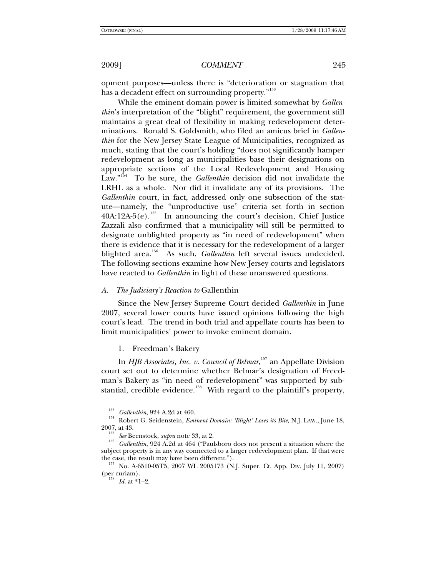opment purposes—unless there is "deterioration or stagnation that has a decadent effect on surrounding property."<sup>[153](#page-20-0)</sup>

While the eminent domain power is limited somewhat by *Gallenthin*'s interpretation of the "blight" requirement, the government still maintains a great deal of flexibility in making redevelopment determinations. Ronald S. Goldsmith, who filed an amicus brief in *Gallenthin* for the New Jersey State League of Municipalities, recognized as much, stating that the court's holding "does not significantly hamper redevelopment as long as municipalities base their designations on appropriate sections of the Local Redevelopment and Housing Law."[154](#page-20-1) To be sure, the *Gallenthin* decision did not invalidate the LRHL as a whole. Nor did it invalidate any of its provisions. The *Gallenthin* court, in fact, addressed only one subsection of the statute—namely, the "unproductive use" criteria set forth in section  $40A:12A-5(e).$ <sup>[155](#page-20-2)</sup> In announcing the court's decision, Chief Justice Zazzali also confirmed that a municipality will still be permitted to designate unblighted property as "in need of redevelopment" when there is evidence that it is necessary for the redevelopment of a larger blighted area.<sup>[156](#page-20-3)</sup> As such, *Gallenthin* left several issues undecided. The following sections examine how New Jersey courts and legislators have reacted to *Gallenthin* in light of these unanswered questions.

## *A. The Judiciary's Reaction to* Gallenthin

Since the New Jersey Supreme Court decided *Gallenthin* in June 2007, several lower courts have issued opinions following the high court's lead. The trend in both trial and appellate courts has been to limit municipalities' power to invoke eminent domain.

1. Freedman's Bakery

In *HJB Associates, Inc. v. Council of Belmar*, [157](#page-20-4) an Appellate Division court set out to determine whether Belmar's designation of Freedman's Bakery as "in need of redevelopment" was supported by sub-stantial, credible evidence.<sup>[158](#page-20-5)</sup> With regard to the plaintiff's property,

<span id="page-20-1"></span><span id="page-20-0"></span><sup>&</sup>lt;sup>153</sup> Gallenthin, 924 A.2d at 460.<br><sup>154</sup> Robert G. Seidenstein, *Eminent Domain: 'Blight' Loses its Bite*, N.J. LAW., June 18,<br>2007, at 43.

<span id="page-20-3"></span><span id="page-20-2"></span><sup>&</sup>lt;sup>155</sup> See Beenstock, *supra* note 33, at 2.<br><sup>156</sup> Gallenthin, 924 A.2d at 464 ("Paulsboro does not present a situation where the subject property is in any way connected to a larger redevelopment plan. If that were

<span id="page-20-5"></span><span id="page-20-4"></span>the case, the result may have been different.").<br><sup>157</sup> No. A-6510-05T5, 2007 WL 2005173 (N.J. Super. Ct. App. Div. July 11, 2007)<br>(per curiam).

 $158$  *Id.* at \*1–2.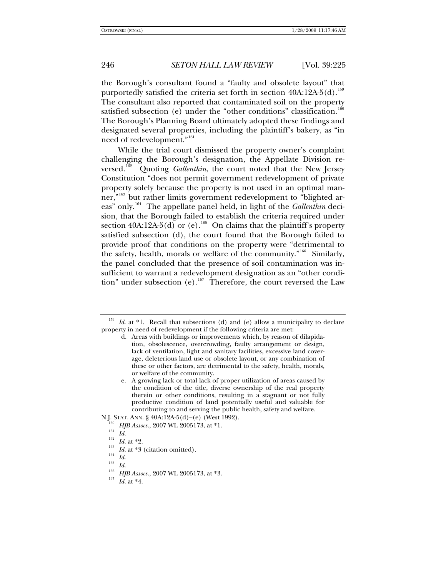the Borough's consultant found a "faulty and obsolete layout" that purportedly satisfied the criteria set forth in section  $40A:12A-5(d).$ <sup>[159](#page-21-0)</sup> The consultant also reported that contaminated soil on the property satisfied subsection (e) under the "other conditions" classification.<sup>[160](#page-21-1)</sup> The Borough's Planning Board ultimately adopted these findings and designated several properties, including the plaintiff's bakery, as "in need of redevelopment."<sup>[161](#page-21-2)</sup>

While the trial court dismissed the property owner's complaint challenging the Borough's designation, the Appellate Division reversed.[162](#page-21-3) Quoting *Gallenthin*, the court noted that the New Jersey Constitution "does not permit government redevelopment of private property solely because the property is not used in an optimal man-ner,"<sup>[163](#page-21-4)</sup> but rather limits government redevelopment to "blighted ar-eas" only.<sup>[164](#page-21-5)</sup> The appellate panel held, in light of the *Gallenthin* decision, that the Borough failed to establish the criteria required under section 40A:12A-5(d) or (e).<sup>[165](#page-21-6)</sup> On claims that the plaintiff's property satisfied subsection (d), the court found that the Borough failed to provide proof that conditions on the property were "detrimental to the safety, health, morals or welfare of the community."<sup>[166](#page-21-7)</sup> Similarly, the panel concluded that the presence of soil contamination was insufficient to warrant a redevelopment designation as an "other condi-tion" under subsection (e).<sup>[167](#page-21-8)</sup> Therefore, the court reversed the Law

<span id="page-21-0"></span><sup>&</sup>lt;sup>159</sup> *Id.* at \*1. Recall that subsections (d) and (e) allow a municipality to declare property in need of redevelopment if the following criteria are met:

d. Areas with buildings or improvements which, by reason of dilapidation, obsolescence, overcrowding, faulty arrangement or design, lack of ventilation, light and sanitary facilities, excessive land coverage, deleterious land use or obsolete layout, or any combination of these or other factors, are detrimental to the safety, health, morals, or welfare of the community.

e. A growing lack or total lack of proper utilization of areas caused by the condition of the title, diverse ownership of the real property therein or other conditions, resulting in a stagnant or not fully productive condition of land potentially useful and valuable for contributing to and serving the public health, safety and welfare.

<span id="page-21-4"></span><span id="page-21-3"></span><span id="page-21-2"></span><span id="page-21-1"></span>N.J. STAT. ANN. § 40A:12A-5(d)–(e) (West 1992).<br>
<sup>160</sup> *HJB Assocs.*, 2007 WL 2005173, at \*1.<br>
<sup>161</sup> *Id.*<br>
<sup>162</sup> *Id.* at \*2.<br>
<sup>162</sup> *Id.* at \*2.<br>
<sup>163</sup> *Id.* at \*3 (citation omitted).<br>
<sup>164</sup> *Id.*<br>
<sup>165</sup> *HJB Assocs.*,

<span id="page-21-7"></span><span id="page-21-6"></span><span id="page-21-5"></span>

<span id="page-21-8"></span>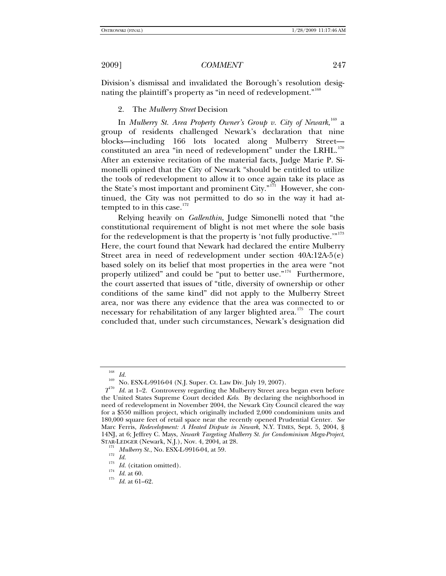Division's dismissal and invalidated the Borough's resolution desig-nating the plaintiff's property as "in need of redevelopment."<sup>[168](#page-22-0)</sup>

2. The *Mulberry Street* Decision

In *Mulberry St. Area Property Owner's Group v. City of Newark*,  $^{169}$  $^{169}$  $^{169}$  a group of residents challenged Newark's declaration that nine blocks—including 166 lots located along Mulberry Street— constituted an area "in need of redevelopment" under the LRHL.<sup>[170](#page-22-2)</sup> After an extensive recitation of the material facts, Judge Marie P. Simonelli opined that the City of Newark "should be entitled to utilize the tools of redevelopment to allow it to once again take its place as the State's most important and prominent City."[171](#page-22-3) However, she continued, the City was not permitted to do so in the way it had attempted to in this case. $172$ 

Relying heavily on *Gallenthin*, Judge Simonelli noted that "the constitutional requirement of blight is not met where the sole basis for the redevelopment is that the property is 'not fully productive.'"<sup>[173](#page-22-5)</sup> Here, the court found that Newark had declared the entire Mulberry Street area in need of redevelopment under section 40A:12A-5(e) based solely on its belief that most properties in the area were "not properly utilized" and could be "put to better use."<sup>[174](#page-22-6)</sup> Furthermore, the court asserted that issues of "title, diversity of ownership or other conditions of the same kind" did not apply to the Mulberry Street area, nor was there any evidence that the area was connected to or necessary for rehabilitation of any larger blighted area.<sup>[175](#page-22-7)</sup> The court concluded that, under such circumstances, Newark's designation did

<sup>&</sup>lt;sup>168</sup> *Id.* <br><sup>169</sup> No. ESX-L-9916-04 (N.J. Super. Ct. Law Div. July 19, 2007).

<span id="page-22-2"></span><span id="page-22-1"></span><span id="page-22-0"></span> $T^{70}$  *Id.* at 1-2. Controversy regarding the Mulberry Street area began even before the United States Supreme Court decided *Kelo*. By declaring the neighborhood in need of redevelopment in November 2004, the Newark City Council cleared the way for a \$550 million project, which originally included 2,000 condominium units and 180,000 square feet of retail space near the recently opened Prudential Center. *See*  Marc Ferris, *Redevelopment: A Heated Dispute in Newark*, N.Y. TIMES, Sept. 5, 2004, § 14NJ, at 6; Jeffrey C. Mays, *Newark Targeting Mulberry St. for Condominium Mega-Project*,

<span id="page-22-4"></span><span id="page-22-3"></span><sup>&</sup>lt;sup>171</sup> Mulberry St., No. ESX-L-9916-04, at 59.<br><sup>173</sup> *Id.* (citation omitted).<br><sup>174</sup> *Id.* at 60.<br><sup>175</sup> *Id.* at 61–62.

<span id="page-22-7"></span><span id="page-22-6"></span><span id="page-22-5"></span>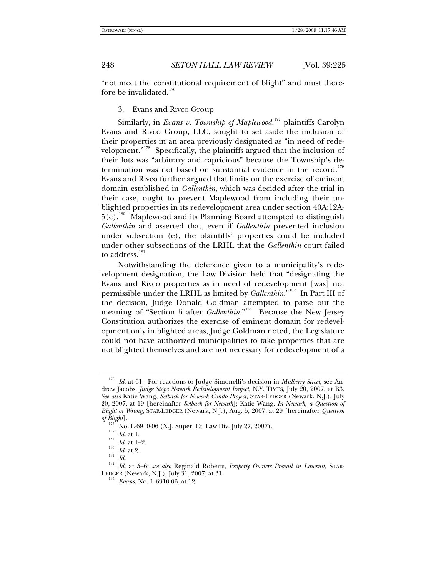"not meet the constitutional requirement of blight" and must therefore be invalidated. $176$ 

3. Evans and Rivco Group

Similarly, in *Evans v. Township of Maplewood*, [177](#page-23-1) plaintiffs Carolyn Evans and Rivco Group, LLC, sought to set aside the inclusion of their properties in an area previously designated as "in need of redevelopment."[178](#page-23-2) Specifically, the plaintiffs argued that the inclusion of their lots was "arbitrary and capricious" because the Township's de-termination was not based on substantial evidence in the record.<sup>[179](#page-23-3)</sup> Evans and Rivco further argued that limits on the exercise of eminent domain established in *Gallenthin*, which was decided after the trial in their case, ought to prevent Maplewood from including their unblighted properties in its redevelopment area under section 40A:12A- $5(e).<sup>180</sup>$  $5(e).<sup>180</sup>$  $5(e).<sup>180</sup>$  Maplewood and its Planning Board attempted to distinguish *Gallenthin* and asserted that, even if *Gallenthin* prevented inclusion under subsection (e), the plaintiffs' properties could be included under other subsections of the LRHL that the *Gallenthin* court failed to address.<sup>[181](#page-23-5)</sup>

Notwithstanding the deference given to a municipality's redevelopment designation, the Law Division held that "designating the Evans and Rivco properties as in need of redevelopment [was] not permissible under the LRHL as limited by *Gallenthin*."[182](#page-23-6) In Part III of the decision, Judge Donald Goldman attempted to parse out the meaning of "Section 5 after *Gallenthin*."<sup>[183](#page-23-7)</sup> Because the New Jersey Constitution authorizes the exercise of eminent domain for redevelopment only in blighted areas, Judge Goldman noted, the Legislature could not have authorized municipalities to take properties that are not blighted themselves and are not necessary for redevelopment of a

<span id="page-23-0"></span><sup>176</sup> *Id.* at 61. For reactions to Judge Simonelli's decision in *Mulberry Street*, see Andrew Jacobs, *Judge Stops Newark Redevelopment Project*, N.Y. TIMES, July 20, 2007, at B3. *See also* Katie Wang, *Setback for Newark Condo Project*, STAR-LEDGER (Newark, N.J.), July 20, 2007, at 19 [hereinafter *Setback for Newark*]; Katie Wang, *In Newark, a Question of Blight or Wrong*, STAR-LEDGER (Newark, N.J.), Aug. 5, 2007, at 29 [hereinafter *Question* 

<span id="page-23-6"></span>

<span id="page-23-5"></span><span id="page-23-4"></span><span id="page-23-3"></span><span id="page-23-2"></span><span id="page-23-1"></span>of Blight].<br>
177 No. L-6910-06 (N.J. Super. Ct. Law Div. July 27, 2007).<br>
<sup>178</sup> Id. at 1.<br>
<sup>179</sup> Id. at 1-2.<br>
<sup>180</sup> Id. at 2.<br>
<sup>180</sup> Id. at 2.<br>
<sup>180</sup> Id. at 5-6; *see also* Reginald Roberts, *Property Owners Prevail in La* 

<span id="page-23-7"></span><sup>&</sup>lt;sup>183</sup> Evans, No. L-6910-06, at 12.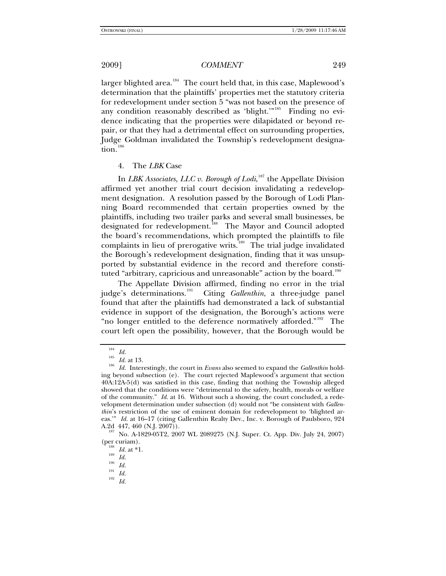larger blighted area.<sup>[184](#page-24-0)</sup> The court held that, in this case, Maplewood's determination that the plaintiffs' properties met the statutory criteria for redevelopment under section 5 "was not based on the presence of any condition reasonably described as 'blight.'"<sup>[185](#page-24-1)</sup> Finding no evidence indicating that the properties were dilapidated or beyond repair, or that they had a detrimental effect on surrounding properties, Judge Goldman invalidated the Township's redevelopment designa-tion.<sup>[186](#page-24-2)</sup>

## 4. The *LBK* Case

In *LBK Associates, LLC v. Borough of Lodi*, [187](#page-24-3) the Appellate Division affirmed yet another trial court decision invalidating a redevelopment designation. A resolution passed by the Borough of Lodi Planning Board recommended that certain properties owned by the plaintiffs, including two trailer parks and several small businesses, be designated for redevelopment.<sup>[188](#page-24-4)</sup> The Mayor and Council adopted the board's recommendations, which prompted the plaintiffs to file complaints in lieu of prerogative writs.<sup>[189](#page-24-5)</sup> The trial judge invalidated the Borough's redevelopment designation, finding that it was unsupported by substantial evidence in the record and therefore consti-tuted "arbitrary, capricious and unreasonable" action by the board.<sup>[190](#page-24-6)</sup>

The Appellate Division affirmed, finding no error in the trial judge's determinations.<sup>191</sup> Citing *Gallenthin*, a three-judge panel Giting *Gallenthin*, a three-judge panel found that after the plaintiffs had demonstrated a lack of substantial evidence in support of the designation, the Borough's actions were "no longer entitled to the deference normatively afforded."<sup>[192](#page-24-8)</sup> The court left open the possibility, however, that the Borough would be

<span id="page-24-2"></span><span id="page-24-1"></span><span id="page-24-0"></span><sup>184</sup> *Id.* <sup>185</sup> *Id.* at 13. 186 *Id.* Interestingly, the court in *Evans* also seemed to expand the *Gallenthin* holding beyond subsection (e). The court rejected Maplewood's argument that section 40A:12A-5(d) was satisfied in this case, finding that nothing the Township alleged showed that the conditions were "detrimental to the safety, health, morals or welfare of the community." *Id.* at 16. Without such a showing, the court concluded, a redevelopment determination under subsection (d) would not "be consistent with *Gallenthin*'s restriction of the use of eminent domain for redevelopment to 'blighted areas.'" *Id.* at 16–17 (citing Gallenthin Realty Dev., Inc. v. Borough of Paulsboro, 924

<span id="page-24-6"></span><span id="page-24-5"></span><span id="page-24-4"></span><span id="page-24-3"></span>A.2d 447, 460 (N.J. 2007)).<br><sup>187</sup> No. A-1829-05T2, 2007 WL 2089275 (N.J. Super. Ct. App. Div. July 24, 2007)<br>(per curiam).

<sup>188</sup> *Id.* at \*1.<br>
<sup>199</sup> *Id.*<br>
<sup>190</sup> *Id.*<br>
<sup>191</sup> *Id.* 192 *Id.* 

<span id="page-24-8"></span><span id="page-24-7"></span>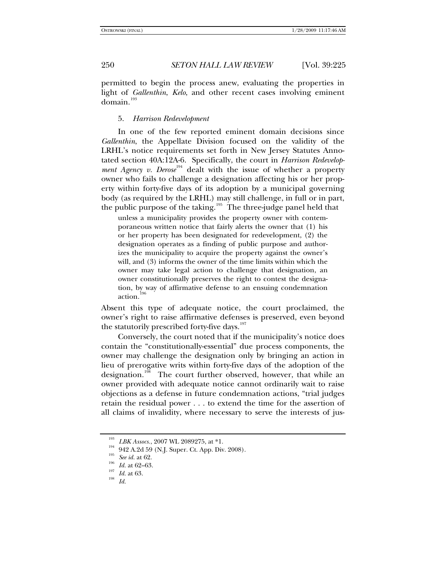permitted to begin the process anew, evaluating the properties in light of *Gallenthin*, *Kelo*, and other recent cases involving eminent domain.<sup>[193](#page-25-0)</sup>

5. *Harrison Redevelopment*

In one of the few reported eminent domain decisions since *Gallenthin*, the Appellate Division focused on the validity of the LRHL's notice requirements set forth in New Jersey Statutes Annotated section 40A:12A-6. Specifically, the court in *Harrison Redevelopment Agency v. Derose*<sup>[194](#page-25-1)</sup> dealt with the issue of whether a property owner who fails to challenge a designation affecting his or her property within forty-five days of its adoption by a municipal governing body (as required by the LRHL) may still challenge, in full or in part, the public purpose of the taking.<sup>[195](#page-25-2)</sup> The three-judge panel held that

unless a municipality provides the property owner with contemporaneous written notice that fairly alerts the owner that (1) his or her property has been designated for redevelopment, (2) the designation operates as a finding of public purpose and authorizes the municipality to acquire the property against the owner's will, and (3) informs the owner of the time limits within which the owner may take legal action to challenge that designation, an owner constitutionally preserves the right to contest the designation, by way of affirmative defense to an ensuing condemnation action.

Absent this type of adequate notice, the court proclaimed, the owner's right to raise affirmative defenses is preserved, even beyond the statutorily prescribed forty-five days.<sup>[197](#page-25-4)</sup>

Conversely, the court noted that if the municipality's notice does contain the "constitutionally-essential" due process components, the owner may challenge the designation only by bringing an action in lieu of prerogative writs within forty-five days of the adoption of the designation.<sup>[198](#page-25-5)</sup> The court further observed, however, that while an owner provided with adequate notice cannot ordinarily wait to raise objections as a defense in future condemnation actions, "trial judges retain the residual power . . . to extend the time for the assertion of all claims of invalidity, where necessary to serve the interests of jus-

<span id="page-25-1"></span><span id="page-25-0"></span><sup>193</sup> *LBK Assocs.*, 2007 WL 2089275, at \*1.<br>
194 942 A.2d 59 (N.J. Super. Ct. App. Div. 2008).<br> *See id.* at 62.<br> *Id.* at 62–63.<br> *Id.* at 63.<br>
198<br> *Id.* at 63.

<span id="page-25-2"></span>

<span id="page-25-3"></span>

<span id="page-25-5"></span><span id="page-25-4"></span>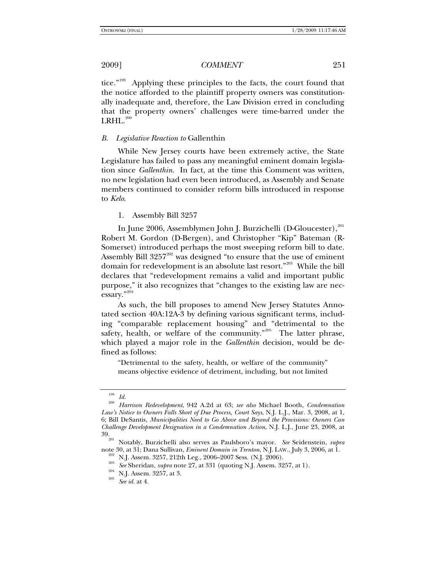tice."<sup>[199](#page-26-0)</sup> Applying these principles to the facts, the court found that the notice afforded to the plaintiff property owners was constitutionally inadequate and, therefore, the Law Division erred in concluding that the property owners' challenges were time-barred under the  $LRHL$ .<sup>[200](#page-26-1)</sup>

## *B. Legislative Reaction to* Gallenthin

While New Jersey courts have been extremely active, the State Legislature has failed to pass any meaningful eminent domain legislation since *Gallenthin*. In fact, at the time this Comment was written, no new legislation had even been introduced, as Assembly and Senate members continued to consider reform bills introduced in response to *Kelo*.

1. Assembly Bill 3257

In June 2006, Assemblymen John J. Burzichelli (D-Gloucester),<sup>[201](#page-26-2)</sup> Robert M. Gordon (D-Bergen), and Christopher "Kip" Bateman (R-Somerset) introduced perhaps the most sweeping reform bill to date. Assembly Bill  $3257^{202}$  $3257^{202}$  $3257^{202}$  was designed "to ensure that the use of eminent domain for redevelopment is an absolute last resort."[203](#page-26-4) While the bill declares that "redevelopment remains a valid and important public purpose," it also recognizes that "changes to the existing law are necessary."[204](#page-26-5)

As such, the bill proposes to amend New Jersey Statutes Annotated section 40A:12A-3 by defining various significant terms, including "comparable replacement housing" and "detrimental to the safety, health, or welfare of the community."<sup>[205](#page-26-6)</sup> The latter phrase, which played a major role in the *Gallenthin* decision, would be defined as follows:

"Detrimental to the safety, health, or welfare of the community" means objective evidence of detriment, including, but not limited

<span id="page-26-1"></span><span id="page-26-0"></span><sup>199</sup> *Id.* <sup>200</sup> *Harrison Redevelopment*, 942 A.2d at 63; *see also* Michael Booth, *Condemnation Law's Notice to Owners Falls Short of Due Process, Court Says*, N.J. L.J., Mar. 3, 2008, at 1, 6; Bill DeSantis, *Municipalities Need to Go Above and Beyond the Provisions: Owners Can Challenge Development Designation in a Condemnation Action*, N.J. L.J., June 23, 2008, at 39.<br>
<sup>11</sup> 1<sup>1</sup> 200<sup>2</sup> mayor *See* Seidenstein, *supra* 

<span id="page-26-6"></span><span id="page-26-5"></span><span id="page-26-4"></span><span id="page-26-3"></span><span id="page-26-2"></span><sup>&</sup>lt;sup>201</sup> Notably, Burzichelli also serves as Paulsboro's mayor. *See* Seidenstein, *supra* note 30, at 31; Dana Sullivan, *Eminent Domain in Trenton*, N.J. LAW., July 3, 2006, at 1.

<sup>&</sup>lt;sup>202</sup> N.J. Assem. 3257, 212th Leg., 2006–2007 Sess. (N.J. 2006).<br><sup>203</sup> See Sheridan, *supra* note 27, at 331 (quoting N.J. Assem. 3257, at 1).<br><sup>204</sup> N.J. Assem. 3257, at 3.<br>See id. at 4.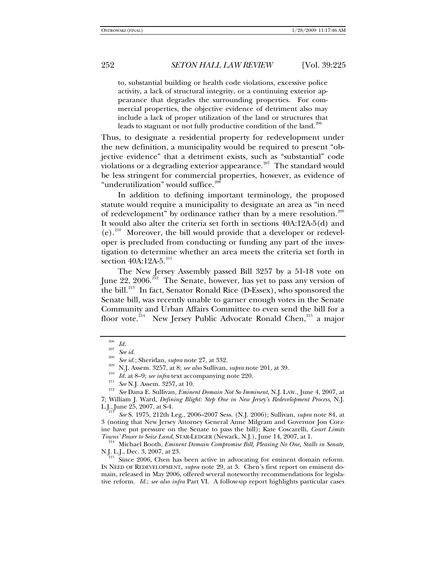to, substantial building or health code violations, excessive police activity, a lack of structural integrity, or a continuing exterior appearance that degrades the surrounding properties. For commercial properties, the objective evidence of detriment also may include a lack of proper utilization of the land or structures that leads to stagnant or not fully productive condition of the land.<sup>2</sup>

Thus, to designate a residential property for redevelopment under the new definition, a municipality would be required to present "objective evidence" that a detriment exists, such as "substantial" code violations or a degrading exterior appearance.<sup>[207](#page-27-1)</sup> The standard would be less stringent for commercial properties, however, as evidence of "underutilization" would suffice.<sup>20</sup>

In addition to defining important terminology, the proposed statute would require a municipality to designate an area as "in need of redevelopment" by ordinance rather than by a mere resolution.<sup>[209](#page-27-3)</sup> It would also alter the criteria set forth in sections 40A:12A-5(d) and  $(e).$ <sup>[210](#page-27-4)</sup> Moreover, the bill would provide that a developer or redeveloper is precluded from conducting or funding any part of the investigation to determine whether an area meets the criteria set forth in section 40A:12A-5.<sup>[211](#page-27-5)</sup>

The New Jersey Assembly passed Bill 3257 by a 51-18 vote on June 22, 2006.<sup>[212](#page-27-6)</sup> The Senate, however, has yet to pass any version of the bill.<sup>[213](#page-27-7)</sup> In fact, Senator Ronald Rice (D-Essex), who sponsored the Senate bill, was recently unable to garner enough votes in the Senate Community and Urban Affairs Committee to even send the bill for a floor vote.<sup>[214](#page-27-8)</sup> New Jersey Public Advocate Ronald Chen,<sup>[215](#page-27-9)</sup> a major

<span id="page-27-4"></span><span id="page-27-3"></span><span id="page-27-2"></span><span id="page-27-1"></span><span id="page-27-0"></span><sup>&</sup>lt;sup>206</sup> *Id.*<br><sup>206</sup> *See id.*; Sheridan, *supra* note 27, at 332.<br><sup>208</sup> *N.J.* Assem. 3257, at 8; *see also* Sullivan, *supra* note 201, at 39.<br><sup>210</sup> *Id.* at 8–9; *see infra* text accompanying note 220.<br><sup>211</sup> *See* N.J. As 7; William J. Ward, *Defining Blight: Step One in New Jersey's Redevelopment Process*, N.J.

<span id="page-27-7"></span><span id="page-27-6"></span><span id="page-27-5"></span>L.J., June 25, 2007, at S-4. 213 *See* S. 1975, 212th Leg., 2006–2007 Sess. (N.J. 2006); Sullivan, *supra* note 84, at 3 (noting that New Jersey Attorney General Anne Milgram and Governor Jon Corzine have put pressure on the Senate to pass the bill); Kate Coscarelli, *Court Limits* 

<span id="page-27-8"></span>*Towns' Power to Seize Land*, STAR-LEDGER (Newark, N.J.), June 14, 2007, at 1.<br><sup>214</sup> Michael Booth, *Eminent Domain Compromise Bill, Pleasing No One, Stalls in Senate*, N.J. L.J., Dec. 3, 2007, at 23.

<span id="page-27-9"></span>Since 2006, Chen has been active in advocating for eminent domain reform. IN NEED OF REDEVELOPMENT, *supra* note 29, at 3. Chen's first report on eminent domain, released in May 2006, offered several noteworthy recommendations for legislative reform. *Id.*; *see also infra* Part VI. A follow-up report highlights particular cases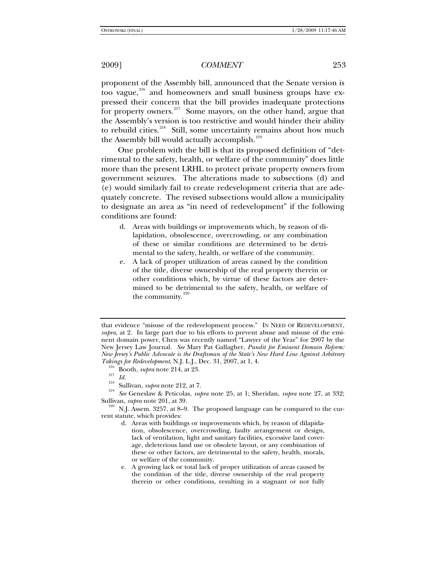proponent of the Assembly bill, announced that the Senate version is too vague, $^{216}$  $^{216}$  $^{216}$  and homeowners and small business groups have expressed their concern that the bill provides inadequate protections for property owners.<sup>[217](#page-28-1)</sup> Some mayors, on the other hand, argue that the Assembly's version is too restrictive and would hinder their ability to rebuild cities.<sup>[218](#page-28-2)</sup> Still, some uncertainty remains about how much the Assembly bill would actually accomplish.<sup>[219](#page-28-3)</sup>

One problem with the bill is that its proposed definition of "detrimental to the safety, health, or welfare of the community" does little more than the present LRHL to protect private property owners from government seizures. The alterations made to subsections (d) and (e) would similarly fail to create redevelopment criteria that are adequately concrete. The revised subsections would allow a municipality to designate an area as "in need of redevelopment" if the following conditions are found:

- d. Areas with buildings or improvements which, by reason of dilapidation, obsolescence, overcrowding, or any combination of these or similar conditions are determined to be detrimental to the safety, health, or welfare of the community.
- e. A lack of proper utilization of areas caused by the condition of the title, diverse ownership of the real property therein or other conditions which, by virtue of these factors are determined to be detrimental to the safety, health, or welfare of the community. $220$

<span id="page-28-1"></span><span id="page-28-0"></span>Takings for Redevelopment, N.J. L.J., Dec. 31, 2007, at 1, 4.<br>
<sup>216</sup> Booth, *supra* note 214, at 23.<br>
<sup>217</sup> Id.<br>
<sup>218</sup> Sullivan, *supra* note 212, at 7.<br>
<sup>218</sup> See Geneslaw & Peticolas, *supra* note 25, at 1; Sheridan, *s* 

<span id="page-28-4"></span><span id="page-28-3"></span><span id="page-28-2"></span>Sullivan, *supra* note 201, at 39.<br><sup>220</sup> N.J. Assem. 3257, at 8–9. The proposed language can be compared to the current statute, which provides:

that evidence "misuse of the redevelopment process." IN NEED OF REDEVELOPMENT, *supra*, at 2. In large part due to his efforts to prevent abuse and misuse of the eminent domain power, Chen was recently named "Lawyer of the Year" for 2007 by the New Jersey Law Journal. *See* Mary Pat Gallagher, *Pundit for Eminent Domain Reform: New Jersey's Public Advocate is the Draftsman of the State's New Hard Line Against Arbitrary* 

d. Areas with buildings or improvements which, by reason of dilapidation, obsolescence, overcrowding, faulty arrangement or design, lack of ventilation, light and sanitary facilities, excessive land coverage, deleterious land use or obsolete layout, or any combination of these or other factors, are detrimental to the safety, health, morals, or welfare of the community.

e. A growing lack or total lack of proper utilization of areas caused by the condition of the title, diverse ownership of the real property therein or other conditions, resulting in a stagnant or not fully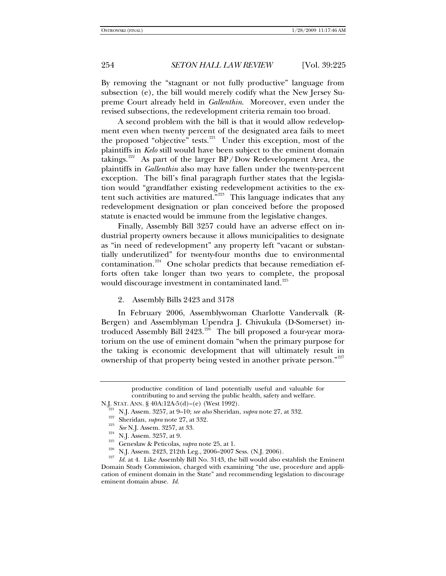By removing the "stagnant or not fully productive" language from subsection (e), the bill would merely codify what the New Jersey Supreme Court already held in *Gallenthin*. Moreover, even under the revised subsections, the redevelopment criteria remain too broad.

A second problem with the bill is that it would allow redevelopment even when twenty percent of the designated area fails to meet the proposed "objective" tests. $221$  Under this exception, most of the plaintiffs in *Kelo* still would have been subject to the eminent domain takings.<sup>[222](#page-29-1)</sup> As part of the larger  $BP/Down$  Redevelopment Area, the plaintiffs in *Gallenthin* also may have fallen under the twenty-percent exception. The bill's final paragraph further states that the legislation would "grandfather existing redevelopment activities to the extent such activities are matured.<sup> $323$ </sup> This language indicates that any redevelopment designation or plan conceived before the proposed statute is enacted would be immune from the legislative changes.

Finally, Assembly Bill 3257 could have an adverse effect on industrial property owners because it allows municipalities to designate as "in need of redevelopment" any property left "vacant or substantially underutilized" for twenty-four months due to environmental contamination.<sup>[224](#page-29-3)</sup> One scholar predicts that because remediation efforts often take longer than two years to complete, the proposal would discourage investment in contaminated land.<sup>[225](#page-29-4)</sup>

2. Assembly Bills 2423 and 3178

In February 2006, Assemblywoman Charlotte Vandervalk (R-Bergen) and Assemblyman Upendra J. Chivukula (D-Somerset) introduced Assembly Bill  $2423$ .<sup>[226](#page-29-5)</sup> The bill proposed a four-year moratorium on the use of eminent domain "when the primary purpose for the taking is economic development that will ultimately result in ownership of that property being vested in another private person."<sup>[227](#page-29-6)</sup>

productive condition of land potentially useful and valuable for contributing to and serving the public health, safety and welfare.

<span id="page-29-6"></span><span id="page-29-5"></span><span id="page-29-4"></span>

<span id="page-29-3"></span><span id="page-29-2"></span><span id="page-29-1"></span><span id="page-29-0"></span>N.J. STAT. ANN. § 40A:12A-5(d)–(e) (West 1992).<br><sup>221</sup> N.J. Assem. 3257, at 9–10; *see also* Sheridan, *supra* note 27, at 332.<br><sup>223</sup> Sheridan, *supra* note 27, at 332.<br><sup>223</sup> See N.J. Assem. 3257, at 33.<br><sup>224</sup> N.J. Assem. Domain Study Commission, charged with examining "the use, procedure and application of eminent domain in the State" and recommending legislation to discourage eminent domain abuse. *Id.*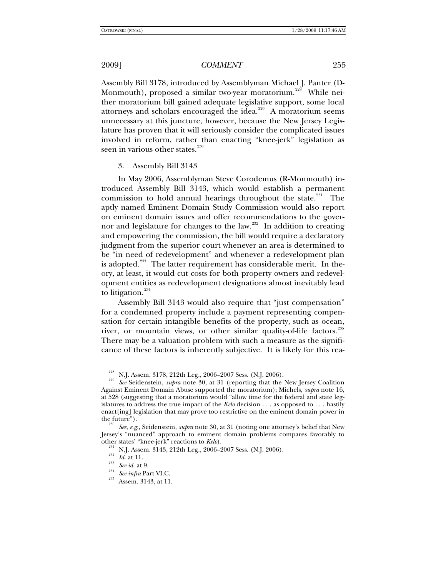Assembly Bill 3178, introduced by Assemblyman Michael J. Panter (D-Monmouth), proposed a similar two-year moratorium.<sup>[228](#page-30-0)</sup> While neither moratorium bill gained adequate legislative support, some local attorneys and scholars encouraged the idea.<sup>[229](#page-30-1)</sup> A moratorium seems unnecessary at this juncture, however, because the New Jersey Legislature has proven that it will seriously consider the complicated issues involved in reform, rather than enacting "knee-jerk" legislation as seen in various other states.<sup>[230](#page-30-2)</sup>

3. Assembly Bill 3143

In May 2006, Assemblyman Steve Corodemus (R-Monmouth) introduced Assembly Bill 3143, which would establish a permanent commission to hold annual hearings throughout the state. $231$  The aptly named Eminent Domain Study Commission would also report on eminent domain issues and offer recommendations to the gover-nor and legislature for changes to the law.<sup>[232](#page-30-4)</sup> In addition to creating and empowering the commission, the bill would require a declaratory judgment from the superior court whenever an area is determined to be "in need of redevelopment" and whenever a redevelopment plan is adopted.<sup>[233](#page-30-5)</sup> The latter requirement has considerable merit. In theory, at least, it would cut costs for both property owners and redevelopment entities as redevelopment designations almost inevitably lead to litigation. $^{234}$  $^{234}$  $^{234}$ 

Assembly Bill 3143 would also require that "just compensation" for a condemned property include a payment representing compensation for certain intangible benefits of the property, such as ocean, river, or mountain views, or other similar quality-of-life factors.<sup>[235](#page-30-7)</sup> There may be a valuation problem with such a measure as the significance of these factors is inherently subjective. It is likely for this rea-

<span id="page-30-1"></span><span id="page-30-0"></span><sup>228</sup> N.J. Assem. 3178, 212th Leg., 2006–2007 Sess. (N.J. 2006). 229 *See* Seidenstein, *supra* note 30, at 31 (reporting that the New Jersey Coalition Against Eminent Domain Abuse supported the moratorium); Michels, *supra* note 16, at 528 (suggesting that a moratorium would "allow time for the federal and state legislatures to address the true impact of the *Kelo* decision . . . as opposed to . . . hastily enact[ing] legislation that may prove too restrictive on the eminent domain power in

<span id="page-30-5"></span><span id="page-30-4"></span><span id="page-30-3"></span><span id="page-30-2"></span>See, e.g., Seidenstein, *supra* note 30, at 31 (noting one attorney's belief that New Jersey's "nuanced" approach to eminent domain problems compares favorably to other states' "knee-jerk" reactions to *Kelo*).

<sup>&</sup>lt;sup>231</sup> N.J. Assem. 3143, 212th Leg., 2006–2007 Sess. (N.J. 2006).<br> *Keloof*. 233 *Id.* at 11.<br> *See id.* at 9.<br> *See infra* Part VI.C. 2<sup>35</sup> Assem. 3143, at 11.

<span id="page-30-7"></span><span id="page-30-6"></span>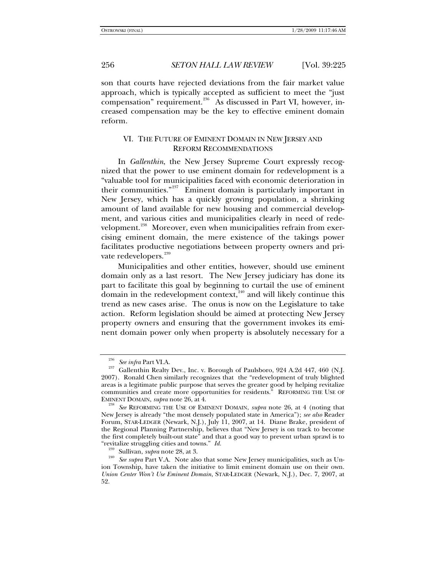son that courts have rejected deviations from the fair market value approach, which is typically accepted as sufficient to meet the "just compensation" requirement.<sup>[236](#page-31-0)</sup> As discussed in Part VI, however, increased compensation may be the key to effective eminent domain reform.

## VI. THE FUTURE OF EMINENT DOMAIN IN NEW JERSEY AND REFORM RECOMMENDATIONS

In *Gallenthin*, the New Jersey Supreme Court expressly recognized that the power to use eminent domain for redevelopment is a "valuable tool for municipalities faced with economic deterioration in their communities."[237](#page-31-1) Eminent domain is particularly important in New Jersey, which has a quickly growing population, a shrinking amount of land available for new housing and commercial development, and various cities and municipalities clearly in need of rede-velopment.<sup>[238](#page-31-2)</sup> Moreover, even when municipalities refrain from exercising eminent domain, the mere existence of the takings power facilitates productive negotiations between property owners and pri-vate redevelopers.<sup>[239](#page-31-3)</sup>

Municipalities and other entities, however, should use eminent domain only as a last resort. The New Jersey judiciary has done its part to facilitate this goal by beginning to curtail the use of eminent domain in the redevelopment context,<sup>[240](#page-31-4)</sup> and will likely continue this trend as new cases arise. The onus is now on the Legislature to take action. Reform legislation should be aimed at protecting New Jersey property owners and ensuring that the government invokes its eminent domain power only when property is absolutely necessary for a

<span id="page-31-1"></span><span id="page-31-0"></span><sup>&</sup>lt;sup>236</sup> See infra Part VI.A.<br><sup>237</sup> Gallenthin Realty Dev., Inc. v. Borough of Paulsboro, 924 A.2d 447, 460 (N.J. 2007). Ronald Chen similarly recognizes that the "redevelopment of truly blighted areas is a legitimate public purpose that serves the greater good by helping revitalize communities and create more opportunities for residents." REFORMING THE USE OF EMINENT DOMAIN, *supra* note 26, at 4.

<span id="page-31-2"></span><sup>&</sup>lt;sup>238</sup> See REFORMING THE USE OF EMINENT DOMAIN, *supra* note 26, at 4 (noting that New Jersey is already "the most densely populated state in America"); *see also* Reader Forum, STAR-LEDGER (Newark, N.J.), July 11, 2007, at 14. Diane Brake, president of the Regional Planning Partnership, believes that "New Jersey is on track to become the first completely built-out state<sup>5</sup> and that a good way to prevent urban sprawl is to "revitalize struggling cities and towns."  $Id$ .

<span id="page-31-4"></span><span id="page-31-3"></span><sup>&</sup>lt;sup>239</sup> Sullivan, *supra* note 28, at 3.<br><sup>240</sup> See supra Part V.A. Note also that some New Jersey municipalities, such as Union Township, have taken the initiative to limit eminent domain use on their own. *Union Center Won't Use Eminent Domain*, STAR-LEDGER (Newark, N.J.), Dec. 7, 2007, at 52.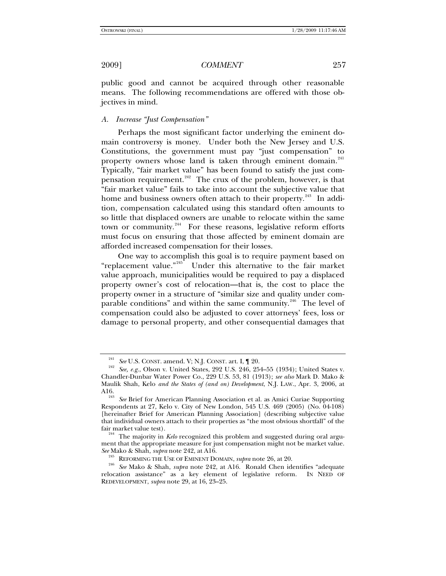public good and cannot be acquired through other reasonable means. The following recommendations are offered with those objectives in mind.

## *A. Increase "Just Compensation"*

Perhaps the most significant factor underlying the eminent domain controversy is money. Under both the New Jersey and U.S. Constitutions, the government must pay "just compensation" to property owners whose land is taken through eminent domain.<sup>[241](#page-32-0)</sup> Typically, "fair market value" has been found to satisfy the just com-pensation requirement.<sup>[242](#page-32-1)</sup> The crux of the problem, however, is that "fair market value" fails to take into account the subjective value that home and business owners often attach to their property.<sup>[243](#page-32-2)</sup> In addition, compensation calculated using this standard often amounts to so little that displaced owners are unable to relocate within the same town or community.<sup>[244](#page-32-3)</sup> For these reasons, legislative reform efforts must focus on ensuring that those affected by eminent domain are afforded increased compensation for their losses.

One way to accomplish this goal is to require payment based on "replacement value."<sup>[245](#page-32-4)</sup> Under this alternative to the fair market value approach, municipalities would be required to pay a displaced property owner's cost of relocation—that is, the cost to place the property owner in a structure of "similar size and quality under com-parable conditions" and within the same community.<sup>[246](#page-32-5)</sup> The level of compensation could also be adjusted to cover attorneys' fees, loss or damage to personal property, and other consequential damages that

<span id="page-32-1"></span><span id="page-32-0"></span><sup>&</sup>lt;sup>241</sup> See U.S. CONST. amend. V; N.J. CONST. art. I,  $\parallel$  20.<br><sup>242</sup> See, e.g., Olson v. United States, 292 U.S. 246, 254–55 (1934); United States v. Chandler-Dunbar Water Power Co., 229 U.S. 53, 81 (1913); *see also* Mark D. Mako & Maulik Shah, Kelo *and the States of (and on) Development*, N.J. LAW., Apr. 3, 2006, at

<span id="page-32-2"></span>See Brief for American Planning Association et al. as Amici Curiae Supporting Respondents at 27, Kelo v. City of New London, 545 U.S. 469 (2005) (No. 04-108) [hereinafter Brief for American Planning Association] (describing subjective value that individual owners attach to their properties as "the most obvious shortfall" of the

<span id="page-32-3"></span>The majority in *Kelo* recognized this problem and suggested during oral argument that the appropriate measure for just compensation might not be market value.<br>See Mako & Shah, *supra* note 242, at A16.

<span id="page-32-5"></span><span id="page-32-4"></span>*See* Mako & Shah, *supra* note 242, at A16. 245 REFORMING THE USE OF EMINENT DOMAIN, *supra* note 26, at 20. 246 *See* Mako & Shah, *supra* note 242, at A16. Ronald Chen identifies "adequate relocation assistance" as a key element of legislative reform. IN NEED OF REDEVELOPMENT, *supra* note 29, at 16, 23–25.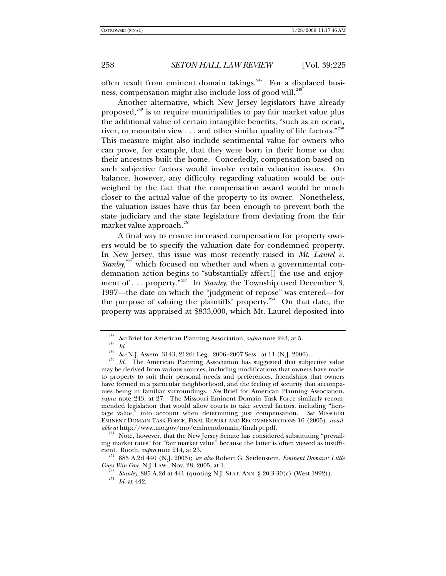often result from eminent domain takings.<sup>[247](#page-33-0)</sup> For a displaced busi-ness, compensation might also include loss of good will.<sup>[248](#page-33-1)</sup>

Another alternative, which New Jersey legislators have already proposed,<sup>[249](#page-33-2)</sup> is to require municipalities to pay fair market value plus the additional value of certain intangible benefits, "such as an ocean, river, or mountain view  $\dots$  and other similar quality of life factors."<sup>[250](#page-33-3)</sup> This measure might also include sentimental value for owners who can prove, for example, that they were born in their home or that their ancestors built the home. Concededly, compensation based on such subjective factors would involve certain valuation issues. On balance, however, any difficulty regarding valuation would be outweighed by the fact that the compensation award would be much closer to the actual value of the property to its owner. Nonetheless, the valuation issues have thus far been enough to prevent both the state judiciary and the state legislature from deviating from the fair market value approach.<sup>[251](#page-33-4)</sup>

A final way to ensure increased compensation for property owners would be to specify the valuation date for condemned property. In New Jersey, this issue was most recently raised in *Mt. Laurel v. Stanley*,<sup>[252](#page-33-5)</sup> which focused on whether and when a governmental condemnation action begins to "substantially affect[] the use and enjoy-ment of . . . property.<sup>"[253](#page-33-6)</sup> In *Stanley*, the Township used December 3, 1997—the date on which the "judgment of repose" was entered—for the purpose of valuing the plaintiffs' property. $254$  On that date, the property was appraised at \$833,000, which Mt. Laurel deposited into

<span id="page-33-4"></span>Note, however, that the New Jersey Senate has considered substituting "prevailing market rates" for "fair market value" because the latter is often viewed as insuffi-

<span id="page-33-7"></span><span id="page-33-6"></span><span id="page-33-5"></span>cient. Booth, *supra* note 214, at 23.<br><sup>252</sup> 885 A.2d 440 (N.J. 2005); *see also* Robert G. Seidenstein, *Eminent Domain: Little Guys Win One*, N.J. LAW., Nov. 28, 2005, at 1.

<span id="page-33-3"></span><span id="page-33-2"></span><span id="page-33-1"></span><span id="page-33-0"></span><sup>&</sup>lt;sup>247</sup> See Brief for American Planning Association, *supra* note 243, at 5.<br><sup>248</sup> *Id. See* N.J. Assem. 3143, 212th Leg., 2006–2007 Sess., at 11 (N.J. 2006).<br><sup>250</sup> *Id.* The American Planning Association has suggested th may be derived from various sources, including modifications that owners have made to property to suit their personal needs and preferences, friendships that owners have formed in a particular neighborhood, and the feeling of security that accompanies being in familiar surroundings. *See* Brief for American Planning Association, *supra* note 243, at 27*.* The Missouri Eminent Domain Task Force similarly recommended legislation that would allow courts to take several factors, including "heritage value," into account when determining just compensation. *See* MISSOURI EMINENT DOMAIN TASK FORCE, FINAL REPORT AND RECOMMENDATIONS 16 (2005), *available at* http://www.mo.gov/mo/eminentdomain/finalrpt.pdf.

<sup>&</sup>lt;sup>253</sup> *Stanley*, 885 A.2d at 441 (quoting N.J. STAT. ANN. § 20:3-30(c) (West 1992)).<br><sup>254</sup> *Id.* at 442.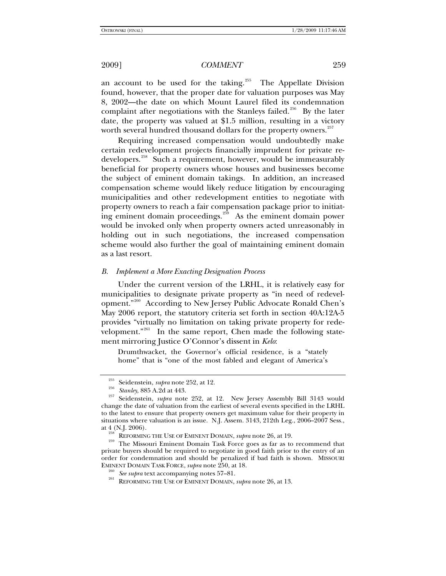an account to be used for the taking.<sup>[255](#page-34-0)</sup> The Appellate Division found, however, that the proper date for valuation purposes was May 8, 2002—the date on which Mount Laurel filed its condemnation complaint after negotiations with the Stanleys failed.<sup>[256](#page-34-1)</sup> By the later date, the property was valued at \$1.5 million, resulting in a victory worth several hundred thousand dollars for the property owners. $257$ 

Requiring increased compensation would undoubtedly make certain redevelopment projects financially imprudent for private re-developers.<sup>[258](#page-34-3)</sup> Such a requirement, however, would be immeasurably beneficial for property owners whose houses and businesses become the subject of eminent domain takings. In addition, an increased compensation scheme would likely reduce litigation by encouraging municipalities and other redevelopment entities to negotiate with property owners to reach a fair compensation package prior to initiat-ing eminent domain proceedings.<sup>[259](#page-34-4)</sup> As the eminent domain power would be invoked only when property owners acted unreasonably in holding out in such negotiations, the increased compensation scheme would also further the goal of maintaining eminent domain as a last resort.

## *B. Implement a More Exacting Designation Process*

Under the current version of the LRHL, it is relatively easy for municipalities to designate private property as "in need of redevelopment."[260](#page-34-5) According to New Jersey Public Advocate Ronald Chen's May 2006 report, the statutory criteria set forth in section 40A:12A-5 provides "virtually no limitation on taking private property for rede-velopment."<sup>[261](#page-34-6)</sup> In the same report, Chen made the following statement mirroring Justice O'Connor's dissent in *Kelo*:

Drumthwacket, the Governor's official residence, is a "stately home" that is "one of the most fabled and elegant of America's

<span id="page-34-2"></span><span id="page-34-1"></span><span id="page-34-0"></span><sup>255</sup> Seidenstein, *supra* note 252, at 12. 256 *Stanley*, 885 A.2d at 443. 257 Seidenstein, *supra* note 252, at 12. New Jersey Assembly Bill 3143 would change the date of valuation from the earliest of several events specified in the LRHL to the latest to ensure that property owners get maximum value for their property in situations where valuation is an issue. N.J. Assem. 3143, 212th Leg., 2006–2007 Sess., at 4 (N.J. 2006).

<span id="page-34-6"></span><span id="page-34-5"></span><span id="page-34-4"></span><span id="page-34-3"></span><sup>&</sup>lt;sup>258</sup> REFORMING THE USE OF EMINENT DOMAIN, *supra* note 26, at 19. The Missouri Eminent Domain Task Force goes as far as to recommend that private buyers should be required to negotiate in good faith prior to the entry of an order for condemnation and should be penalized if bad faith is shown. MISSOURI EMINENT DOMAIN TASK FORCE, *supra* note 250, at 18. 260 *See supra* text accompanying notes 57–81. 261 REFORMING THE USE OF EMINENT DOMAIN, *supra* note 26, at 13.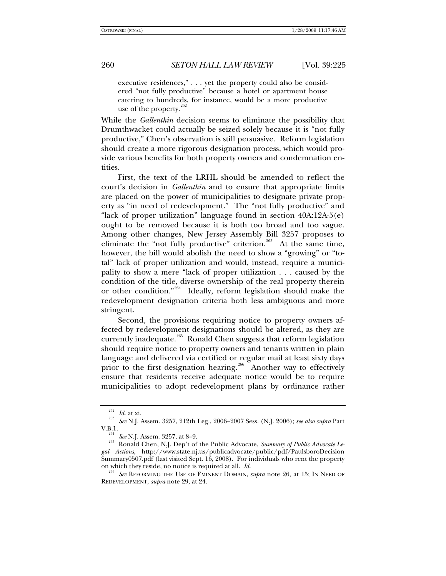executive residences," . . . yet the property could also be considered "not fully productive" because a hotel or apartment house catering to hundreds, for instance, would be a more productive use of the property. $\frac{2}{x}$ 

While the *Gallenthin* decision seems to eliminate the possibility that Drumthwacket could actually be seized solely because it is "not fully productive," Chen's observation is still persuasive. Reform legislation should create a more rigorous designation process, which would provide various benefits for both property owners and condemnation entities.

First, the text of the LRHL should be amended to reflect the court's decision in *Gallenthin* and to ensure that appropriate limits are placed on the power of municipalities to designate private property as "in need of redevelopment." The "not fully productive" and "lack of proper utilization" language found in section 40A:12A-5(e) ought to be removed because it is both too broad and too vague. Among other changes, New Jersey Assembly Bill 3257 proposes to eliminate the "not fully productive" criterion.<sup>[263](#page-35-1)</sup> At the same time, however, the bill would abolish the need to show a "growing" or "total" lack of proper utilization and would, instead, require a municipality to show a mere "lack of proper utilization . . . caused by the condition of the title, diverse ownership of the real property therein or other condition."[264](#page-35-2) Ideally, reform legislation should make the redevelopment designation criteria both less ambiguous and more stringent.

Second, the provisions requiring notice to property owners affected by redevelopment designations should be altered, as they are currently inadequate.<sup>[265](#page-35-3)</sup> Ronald Chen suggests that reform legislation should require notice to property owners and tenants written in plain language and delivered via certified or regular mail at least sixty days prior to the first designation hearing.<sup>[266](#page-35-4)</sup> Another way to effectively ensure that residents receive adequate notice would be to require municipalities to adopt redevelopment plans by ordinance rather

<span id="page-35-1"></span><span id="page-35-0"></span><sup>262</sup> *Id.* at xi. 263 *See* N.J. Assem. 3257, 212th Leg., 2006–2007 Sess. (N.J. 2006); *see also supra* Part

<span id="page-35-3"></span><span id="page-35-2"></span><sup>&</sup>lt;sup>264</sup> See N.J. Assem. 3257, at 8–9.<br><sup>265</sup> Ronald Chen, N.J. Dep't of the Public Advocate, *Summary of Public Advocate Legal Actions*, http://www.state.nj.us/publicadvocate/public/pdf/PaulsboroDecision Summary0507.pdf (last visited Sept. 16, 2008). For individuals who rent the property on which they reside, no notice is required at all. *Id.* <sup>266</sup> *See* REFORMING THE USE OF EMINENT DOMAIN, *supra* note 26, at 15; IN NEED OF

<span id="page-35-4"></span>REDEVELOPMENT, *supra* note 29, at 24.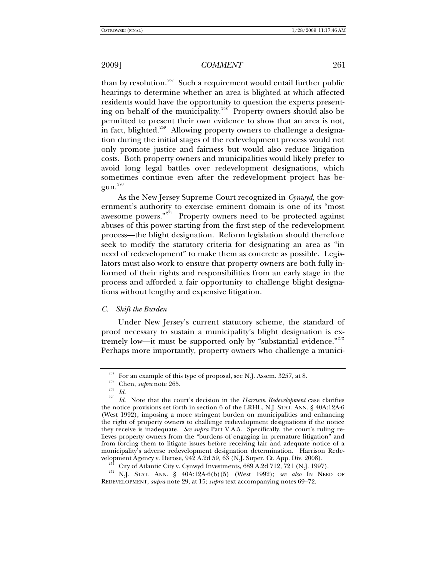than by resolution.<sup>[267](#page-36-0)</sup> Such a requirement would entail further public hearings to determine whether an area is blighted at which affected residents would have the opportunity to question the experts present-ing on behalf of the municipality.<sup>[268](#page-36-1)</sup> Property owners should also be permitted to present their own evidence to show that an area is not, in fact, blighted.<sup>[269](#page-36-2)</sup> Allowing property owners to challenge a designation during the initial stages of the redevelopment process would not only promote justice and fairness but would also reduce litigation costs. Both property owners and municipalities would likely prefer to avoid long legal battles over redevelopment designations, which sometimes continue even after the redevelopment project has be-gun.<sup>[270](#page-36-3)</sup>

As the New Jersey Supreme Court recognized in *Cynwyd*, the government's authority to exercise eminent domain is one of its "most awesome powers."<sup>[271](#page-36-4)</sup> Property owners need to be protected against abuses of this power starting from the first step of the redevelopment process—the blight designation. Reform legislation should therefore seek to modify the statutory criteria for designating an area as "in need of redevelopment" to make them as concrete as possible. Legislators must also work to ensure that property owners are both fully informed of their rights and responsibilities from an early stage in the process and afforded a fair opportunity to challenge blight designations without lengthy and expensive litigation.

## *C. Shift the Burden*

Under New Jersey's current statutory scheme, the standard of proof necessary to sustain a municipality's blight designation is ex-tremely low—it must be supported only by "substantial evidence."<sup>[272](#page-36-5)</sup> Perhaps more importantly, property owners who challenge a munici-

<span id="page-36-3"></span><span id="page-36-2"></span><span id="page-36-1"></span><span id="page-36-0"></span><sup>&</sup>lt;sup>267</sup> For an example of this type of proposal, see N.J. Assem. 3257, at 8.<br><sup>268</sup> Chen, *supra* note 265.<br><sup>270</sup> *Id.* Note that the court's decision in the *Harrison Redevelopment* case clarifies the notice provisions set forth in section 6 of the LRHL, N.J. STAT. ANN. § 40A:12A-6 (West 1992), imposing a more stringent burden on municipalities and enhancing the right of property owners to challenge redevelopment designations if the notice they receive is inadequate. *See supra* Part V.A.5. Specifically, the court's ruling relieves property owners from the "burdens of engaging in premature litigation" and from forcing them to litigate issues before receiving fair and adequate notice of a municipality's adverse redevelopment designation determination. Harrison Rede-

<span id="page-36-5"></span><span id="page-36-4"></span>velopment Agency v. Derose, 942 A.2d 59, 63 (N.J. Super. Ct. App. Div. 2008).<br><sup>271</sup> City of Atlantic City v. Cynwyd Investments, 689 A.2d 712, 721 (N.J. 1997).<br><sup>272</sup> N.J. STAT. ANN. § 40A:12A-6(b)(5) (West 1992); *see also* REDEVELOPMENT, *supra* note 29, at 15; *supra* text accompanying notes 69–72.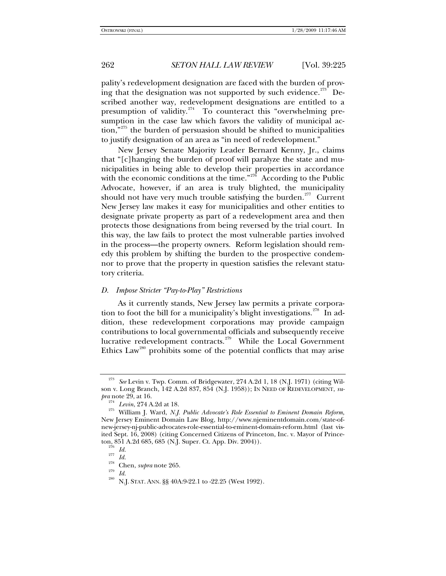pality's redevelopment designation are faced with the burden of prov-ing that the designation was not supported by such evidence.<sup>[273](#page-37-0)</sup> Described another way, redevelopment designations are entitled to a presumption of validity.<sup>[274](#page-37-1)</sup> To counteract this "overwhelming presumption in the case law which favors the validity of municipal ac- $\mu$ <sub>775</sub> the burden of persuasion should be shifted to municipalities to justify designation of an area as "in need of redevelopment."

New Jersey Senate Majority Leader Bernard Kenny, Jr., claims that "[c]hanging the burden of proof will paralyze the state and municipalities in being able to develop their properties in accordance with the economic conditions at the time."<sup>[276](#page-37-3)</sup> According to the Public Advocate, however, if an area is truly blighted, the municipality should not have very much trouble satisfying the burden.<sup>[277](#page-37-4)</sup> Current New Jersey law makes it easy for municipalities and other entities to designate private property as part of a redevelopment area and then protects those designations from being reversed by the trial court. In this way, the law fails to protect the most vulnerable parties involved in the process—the property owners. Reform legislation should remedy this problem by shifting the burden to the prospective condemnor to prove that the property in question satisfies the relevant statutory criteria.

## *D. Impose Stricter "Pay-to-Play" Restrictions*

As it currently stands, New Jersey law permits a private corpora-tion to foot the bill for a municipality's blight investigations.<sup>[278](#page-37-5)</sup> In addition, these redevelopment corporations may provide campaign contributions to local governmental officials and subsequently receive lucrative redevelopment contracts.<sup>[279](#page-37-6)</sup> While the Local Government Ethics  $Law^{280}$  $Law^{280}$  $Law^{280}$  prohibits some of the potential conflicts that may arise

<span id="page-37-0"></span><sup>273</sup> *See* Levin v. Twp. Comm. of Bridgewater, 274 A.2d 1, 18 (N.J. 1971) (citing Wilson v. Long Branch*,* 142 A.2d 837, 854 (N.J. 1958)); IN NEED OF REDEVELOPMENT, *supra* note 29, at 16.<br><sup>274</sup> *Levin*, 274 A.2d at 18.

<span id="page-37-3"></span><span id="page-37-2"></span><span id="page-37-1"></span><sup>&</sup>lt;sup>275</sup> William J. Ward, *N.J. Public Advocate's Role Essential to Eminent Domain Reform*, New Jersey Eminent Domain Law Blog, http://www.njeminentdomain.com/state-ofnew-jersey-nj-public-advocates-role-essential-to-eminent-domain-reform.html (last visited Sept. 16, 2008) (citing Concerned Citizens of Princeton, Inc. v. Mayor of Princeton, 851 A.2d 685, 685 (N.J. Super. Ct. App. Div. 2004)).<br><sup>276</sup> *Id.*<br><sup>278</sup> Chen, *supra* note 265.<br><sup>279</sup> *Id.*<br><sup>280</sup> N.J. STAT. ANN. §§ 40A:9-22.1 to -22.25 (West 1992).

<span id="page-37-5"></span><span id="page-37-4"></span>

<span id="page-37-7"></span><span id="page-37-6"></span>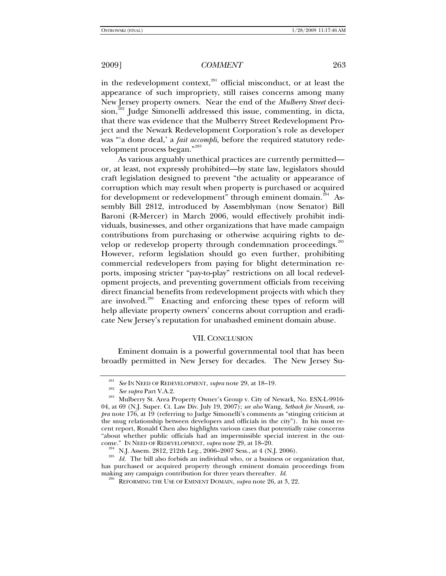in the redevelopment context,<sup>[281](#page-38-0)</sup> official misconduct, or at least the appearance of such impropriety, still raises concerns among many New Jersey property owners. Near the end of the *Mulberry Street* deci-sion,<sup>[282](#page-38-1)</sup> Judge Simonelli addressed this issue, commenting, in dicta, that there was evidence that the Mulberry Street Redevelopment Project and the Newark Redevelopment Corporation's role as developer was "'a done deal,' a *fait accompli*, before the required statutory rede-velopment process began."<sup>[283](#page-38-2)</sup>

As various arguably unethical practices are currently permitted or, at least, not expressly prohibited—by state law, legislators should craft legislation designed to prevent "the actuality or appearance of corruption which may result when property is purchased or acquired for development or redevelopment" through eminent domain.<sup>[284](#page-38-3)</sup> Assembly Bill 2812, introduced by Assemblyman (now Senator) Bill Baroni (R-Mercer) in March 2006, would effectively prohibit individuals, businesses, and other organizations that have made campaign contributions from purchasing or otherwise acquiring rights to de-velop or redevelop property through condemnation proceedings.<sup>[285](#page-38-4)</sup> However, reform legislation should go even further, prohibiting commercial redevelopers from paying for blight determination reports, imposing stricter "pay-to-play" restrictions on all local redevelopment projects, and preventing government officials from receiving direct financial benefits from redevelopment projects with which they are involved.<sup>[286](#page-38-5)</sup> Enacting and enforcing these types of reform will help alleviate property owners' concerns about corruption and eradicate New Jersey's reputation for unabashed eminent domain abuse.

## VII. CONCLUSION

Eminent domain is a powerful governmental tool that has been broadly permitted in New Jersey for decades. The New Jersey Su-

<span id="page-38-2"></span><span id="page-38-1"></span><span id="page-38-0"></span><sup>&</sup>lt;sup>281</sup> See IN NEED OF REDEVELOPMENT, *supra* note 29, at 18–19.<br><sup>282</sup> See supra Part V.A.2.<br><sup>283</sup> Mulberry St. Area Property Owner's Group v. City of Newark, No. ESX-L-9916-04, at 69 (N.J. Super. Ct. Law Div. July 19, 2007); *see also* Wang, *Setback for Newark*, *supra* note 176, at 19 (referring to Judge Simonelli's comments as "stinging criticism at the snug relationship between developers and officials in the city"). In his most recent report, Ronald Chen also highlights various cases that potentially raise concerns "about whether public officials had an impermissible special interest in the out-<br>come." IN NEED OF REDEVELOPMENT, *supra* note 29, at  $18-20$ .

<span id="page-38-5"></span><span id="page-38-4"></span><span id="page-38-3"></span><sup>&</sup>lt;sup>284</sup> N.J. Assem. 2812, 212th Leg., 2006–2007 Sess., at 4 (N.J. 2006).<br><sup>285</sup> Id. The bill also forbids an individual who, or a business or organization that, has purchased or acquired property through eminent domain proceedings from making any campaign contribution for three years thereafter.  $Id$ .

<sup>&</sup>lt;sup>286</sup> REFORMING THE USE OF EMINENT DOMAIN, *supra* note 26, at 3, 22.